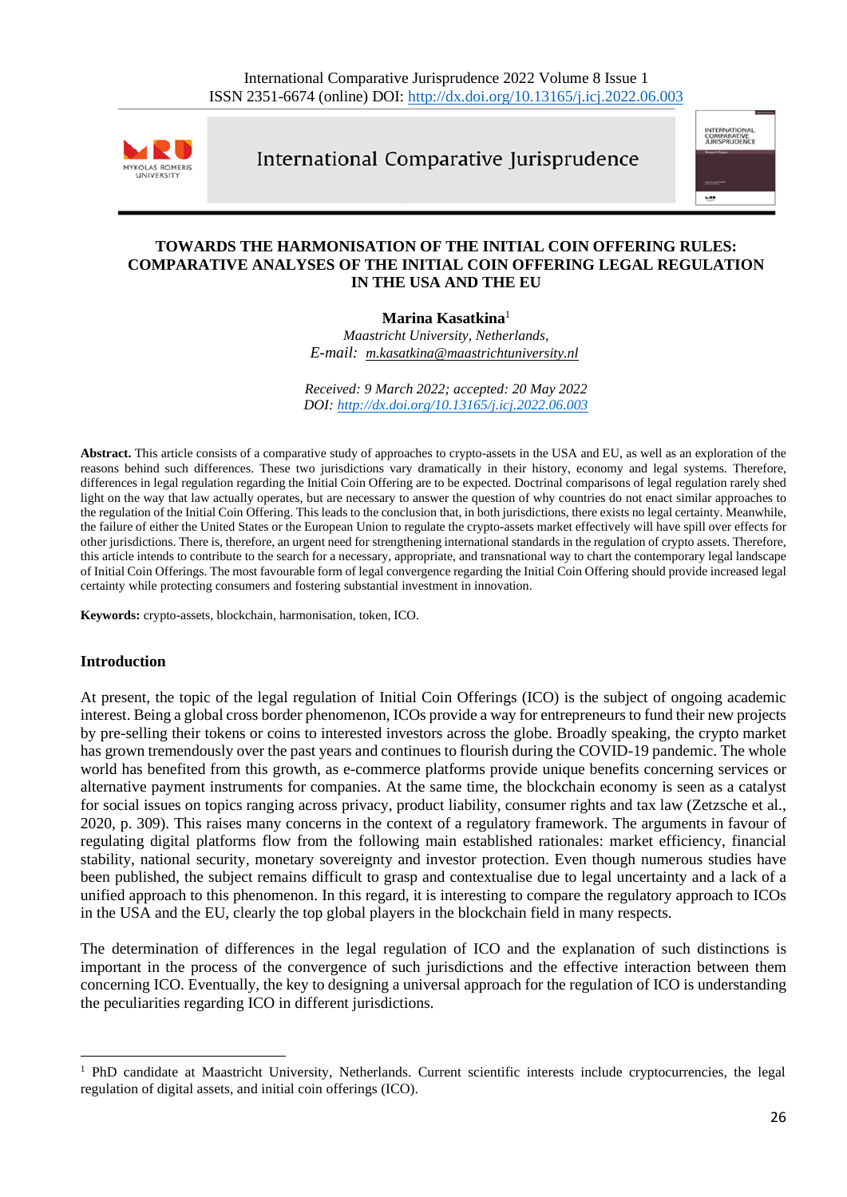

International Comparative Jurisprudence



### **TOWARDS THE HARMONISATION OF THE INITIAL COIN OFFERING RULES: COMPARATIVE ANALYSES OF THE INITIAL COIN OFFERING LEGAL REGULATION IN THE USA AND THE EU**

### **Marina Kasatkina**<sup>1</sup>

*Maastricht University, Netherlands, E-mail: [m.kasatkina@maastrichtuniversity.nl](mailto:m.kasatkina@maastrichtuniversity.nl)*

*Received: 9 March 2022; accepted: 20 May 2022 DOI: <http://dx.doi.org/10.13165/j.icj.2022.06.003>*

**Abstract.** This article consists of a comparative study of approaches to crypto-assets in the USA and EU, as well as an exploration of the reasons behind such differences. These two jurisdictions vary dramatically in their history, economy and legal systems. Therefore, differences in legal regulation regarding the Initial Coin Offering are to be expected. Doctrinal comparisons of legal regulation rarely shed light on the way that law actually operates, but are necessary to answer the question of why countries do not enact similar approaches to the regulation of the Initial Coin Offering. This leads to the conclusion that, in both jurisdictions, there exists no legal certainty. Meanwhile, the failure of either the United States or the European Union to regulate the crypto-assets market effectively will have spill over effects for other jurisdictions. There is, therefore, an urgent need for strengthening international standards in the regulation of crypto assets. Therefore, this article intends to contribute to the search for a necessary, appropriate, and transnational way to chart the contemporary legal landscape of Initial Coin Offerings. The most favourable form of legal convergence regarding the Initial Coin Offering should provide increased legal certainty while protecting consumers and fostering substantial investment in innovation.

**Keywords:** crypto-assets, blockchain, harmonisation, token, ICO.

#### **Introduction**

At present, the topic of the legal regulation of Initial Coin Offerings (ICO) is the subject of ongoing academic interest. Being a global cross border phenomenon, ICOs provide a way for entrepreneursto fund their new projects by pre-selling their tokens or coins to interested investors across the globe. Broadly speaking, the crypto market has grown tremendously over the past years and continues to flourish during the COVID-19 pandemic. The whole world has benefited from this growth, as e-commerce platforms provide unique benefits concerning services or alternative payment instruments for companies. At the same time, the blockchain economy is seen as a catalyst for social issues on topics ranging across privacy, product liability, consumer rights and tax law (Zetzsche et al., 2020, p. 309). This raises many concerns in the context of a regulatory framework. The arguments in favour of regulating digital platforms flow from the following main established rationales: market efficiency, financial stability, national security, monetary sovereignty and investor protection. Even though numerous studies have been published, the subject remains difficult to grasp and contextualise due to legal uncertainty and a lack of a unified approach to this phenomenon. In this regard, it is interesting to compare the regulatory approach to ICOs in the USA and the EU, clearly the top global players in the blockchain field in many respects.

The determination of differences in the legal regulation of ICO and the explanation of such distinctions is important in the process of the convergence of such jurisdictions and the effective interaction between them concerning ICO. Eventually, the key to designing a universal approach for the regulation of ICO is understanding the peculiarities regarding ICO in different jurisdictions.

<sup>&</sup>lt;sup>1</sup> PhD candidate at Maastricht University, Netherlands. Current scientific interests include cryptocurrencies, the legal regulation of digital assets, and initial coin offerings (ICO).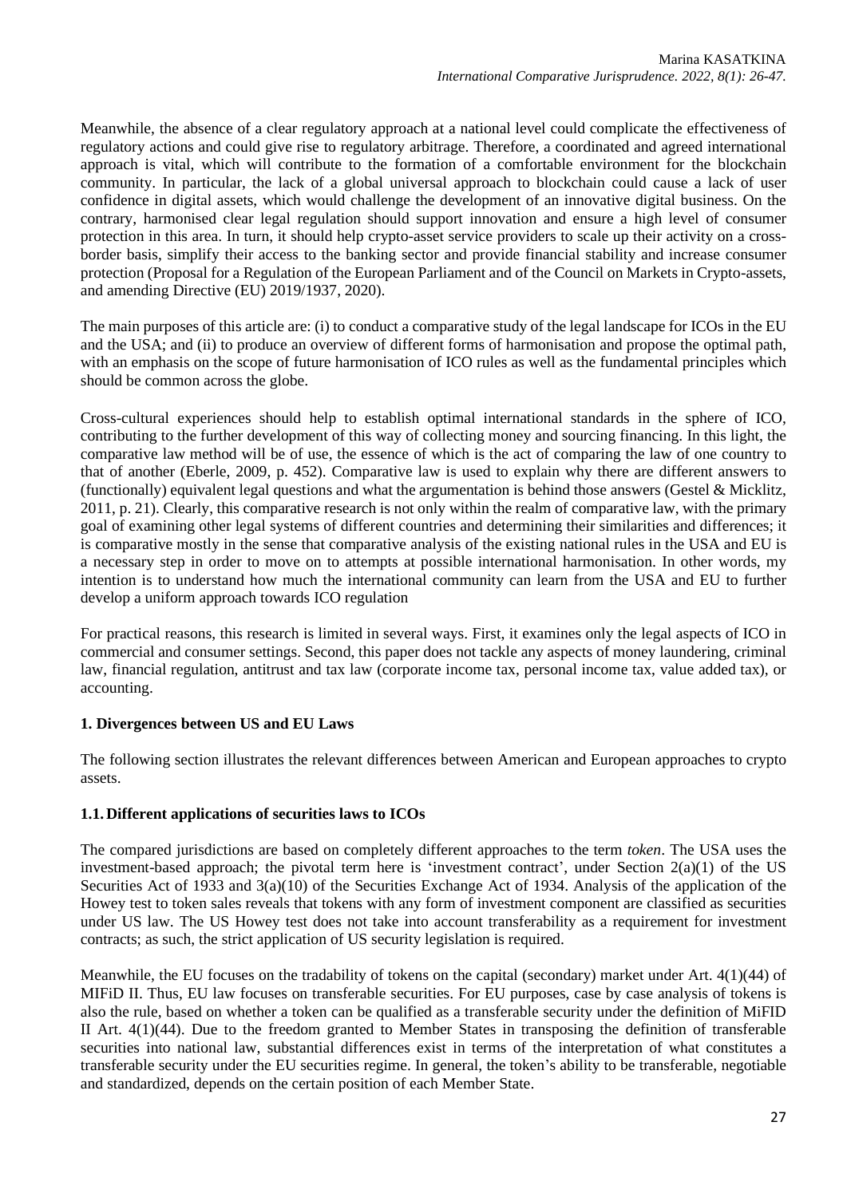Meanwhile, the absence of a clear regulatory approach at a national level could complicate the effectiveness of regulatory actions and could give rise to regulatory arbitrage. Therefore, a coordinated and agreed international approach is vital, which will contribute to the formation of a comfortable environment for the blockchain community. In particular, the lack of a global universal approach to blockchain could cause a lack of user confidence in digital assets, which would challenge the development of an innovative digital business. On the contrary, harmonised clear legal regulation should support innovation and ensure a high level of consumer protection in this area. In turn, it should help crypto-asset service providers to scale up their activity on a crossborder basis, simplify their access to the banking sector and provide financial stability and increase consumer protection (Proposal for a Regulation of the European Parliament and of the Council on Markets in Crypto-assets, and amending Directive (EU) 2019/1937, 2020).

The main purposes of this article are: (i) to conduct a comparative study of the legal landscape for ICOs in the EU and the USA; and (ii) to produce an overview of different forms of harmonisation and propose the optimal path, with an emphasis on the scope of future harmonisation of ICO rules as well as the fundamental principles which should be common across the globe.

Cross-cultural experiences should help to establish optimal international standards in the sphere of ICO, contributing to the further development of this way of collecting money and sourcing financing. In this light, the comparative law method will be of use, the essence of which is the act of comparing the law of one country to that of another (Eberle, 2009, p. 452). Comparative law is used to explain why there are different answers to (functionally) equivalent legal questions and what the argumentation is behind those answers (Gestel & Micklitz, 2011, p. 21). Clearly, this comparative research is not only within the realm of comparative law, with the primary goal of examining other legal systems of different countries and determining their similarities and differences; it is comparative mostly in the sense that comparative analysis of the existing national rules in the USA and EU is a necessary step in order to move on to attempts at possible international harmonisation. In other words, my intention is to understand how much the international community can learn from the USA and EU to further develop a uniform approach towards ICO regulation

For practical reasons, this research is limited in several ways. First, it examines only the legal aspects of ICO in commercial and consumer settings. Second, this paper does not tackle any aspects of money laundering, criminal law, financial regulation, antitrust and tax law (corporate income tax, personal income tax, value added tax), or accounting.

## **1. Divergences between US and EU Laws**

The following section illustrates the relevant differences between American and European approaches to crypto assets.

## **1.1.Different applications of securities laws to ICOs**

The compared jurisdictions are based on completely different approaches to the term *token*. The USA uses the investment-based approach; the pivotal term here is 'investment contract', under Section  $2(a)(1)$  of the US Securities Act of 1933 and 3(a)(10) of the Securities Exchange Act of 1934. Analysis of the application of the Howey test to token sales reveals that tokens with any form of investment component are classified as securities under US law. The US Howey test does not take into account transferability as a requirement for investment contracts; as such, the strict application of US security legislation is required.

Meanwhile, the EU focuses on the tradability of tokens on the capital (secondary) market under Art. 4(1)(44) of MIFiD II. Thus, EU law focuses on transferable securities. For EU purposes, case by case analysis of tokens is also the rule, based on whether a token can be qualified as a transferable security under the definition of MiFID II Art. 4(1)(44). Due to the freedom granted to Member States in transposing the definition of transferable securities into national law, substantial differences exist in terms of the interpretation of what constitutes a transferable security under the EU securities regime. In general, the token's ability to be transferable, negotiable and standardized, depends on the certain position of each Member State.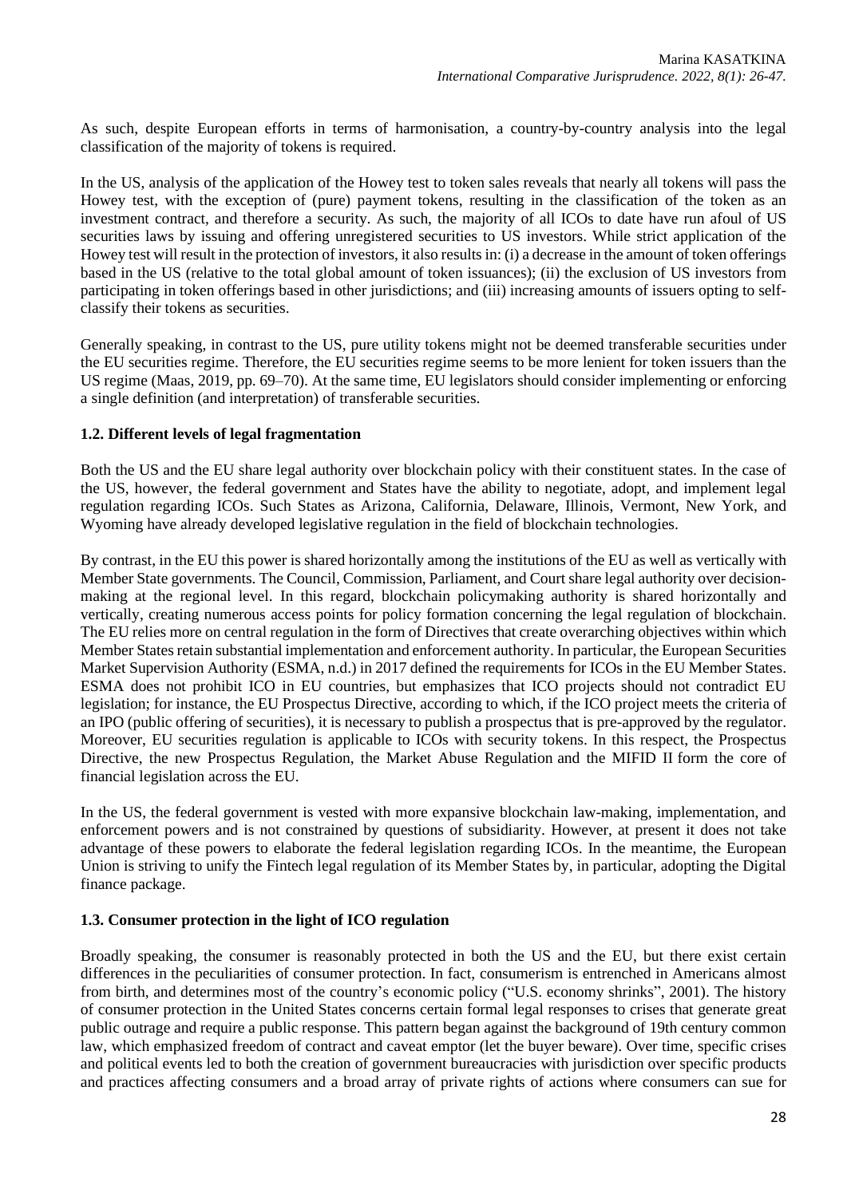As such, despite European efforts in terms of harmonisation, a country-by-country analysis into the legal classification of the majority of tokens is required.

In the US, analysis of the application of the Howey test to token sales reveals that nearly all tokens will pass the Howey test, with the exception of (pure) payment tokens, resulting in the classification of the token as an investment contract, and therefore a security. As such, the majority of all ICOs to date have run afoul of US securities laws by issuing and offering unregistered securities to US investors. While strict application of the Howey test will result in the protection of investors, it also resultsin: (i) a decrease in the amount of token offerings based in the US (relative to the total global amount of token issuances); (ii) the exclusion of US investors from participating in token offerings based in other jurisdictions; and (iii) increasing amounts of issuers opting to selfclassify their tokens as securities.

Generally speaking, in contrast to the US, pure utility tokens might not be deemed transferable securities under the EU securities regime. Therefore, the EU securities regime seems to be more lenient for token issuers than the US regime (Maas, 2019, pp. 69–70). At the same time, EU legislators should consider implementing or enforcing a single definition (and interpretation) of transferable securities.

## **1.2. Different levels of legal fragmentation**

Both the US and the EU share legal authority over blockchain policy with their constituent states. In the case of the US, however, the federal government and States have the ability to negotiate, adopt, and implement legal regulation regarding ICOs. Such States as Arizona, California, Delaware, Illinois, Vermont, New York, and Wyoming have already developed legislative regulation in the field of blockchain technologies.

By contrast, in the EU this power is shared horizontally among the institutions of the EU as well as vertically with Member State governments. The Council, Commission, Parliament, and Court share legal authority over decisionmaking at the regional level. In this regard, blockchain policymaking authority is shared horizontally and vertically, creating numerous access points for policy formation concerning the legal regulation of blockchain. The EU relies more on central regulation in the form of Directives that create overarching objectives within which Member States retain substantial implementation and enforcement authority. In particular, the European Securities Market Supervision Authority (ESMA, n.d.) in 2017 defined the requirements for ICOs in the EU Member States. ESMA does not prohibit ICO in EU countries, but emphasizes that ICO projects should not contradict EU legislation; for instance, the EU Prospectus Directive, according to which, if the ICO project meets the criteria of an IPO (public offering of securities), it is necessary to publish a prospectus that is pre-approved by the regulator. Moreover, EU securities regulation is applicable to ICOs with security tokens. In this respect, the Prospectus Directive, the new Prospectus Regulation, the Market Abuse Regulation and the MIFID II form the core of financial legislation across the EU.

In the US, the federal government is vested with more expansive blockchain law-making, implementation, and enforcement powers and is not constrained by questions of subsidiarity. However, at present it does not take advantage of these powers to elaborate the federal legislation regarding ICOs. In the meantime, the European Union is striving to unify the Fintech legal regulation of its Member States by, in particular, adopting the Digital finance package.

#### **1.3. Consumer protection in the light of ICO regulation**

Broadly speaking, the consumer is reasonably protected in both the US and the EU, but there exist certain differences in the peculiarities of consumer protection. In fact, consumerism is entrenched in Americans almost from birth, and determines most of the country's economic policy ("U.S. economy shrinks", 2001). The history of consumer protection in the United States concerns certain formal legal responses to crises that generate great public outrage and require a public response. This pattern began against the background of 19th century common law, which emphasized freedom of contract and caveat emptor (let the buyer beware). Over time, specific crises and political events led to both the creation of government bureaucracies with jurisdiction over specific products and practices affecting consumers and a broad array of private rights of actions where consumers can sue for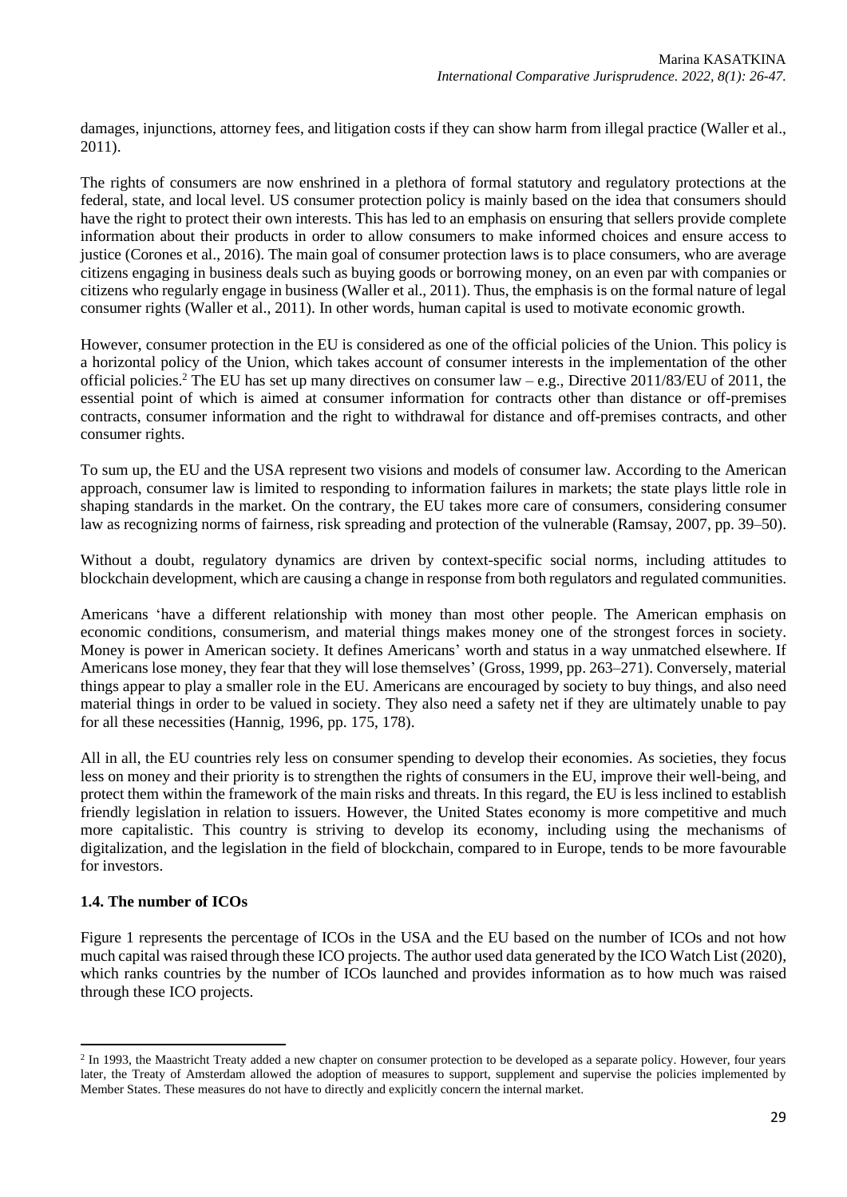damages, injunctions, attorney fees, and litigation costs if they can show harm from illegal practice (Waller et al., 2011).

The rights of consumers are now enshrined in a plethora of formal statutory and regulatory protections at the federal, state, and local level. US consumer protection policy is mainly based on the idea that consumers should have the right to protect their own interests. This has led to an emphasis on ensuring that sellers provide complete information about their products in order to allow consumers to make informed choices and ensure access to justice (Corones et al., 2016). The main goal of consumer protection laws is to place consumers, who are average citizens engaging in business deals such as buying goods or borrowing money, on an even par with companies or citizens who regularly engage in business (Waller et al., 2011). Thus, the emphasis is on the formal nature of legal consumer rights (Waller et al., 2011). In other words, human capital is used to motivate economic growth.

However, consumer protection in the EU is considered as one of the official policies of the Union. This policy is a horizontal policy of the Union, which takes account of consumer interests in the implementation of the other official policies.<sup>2</sup> The EU has set up many directives on consumer law – e.g., Directive 2011/83/EU of 2011, the essential point of which is aimed at consumer information for contracts other than distance or off-premises contracts, consumer information and the right to withdrawal for distance and off-premises contracts, and other consumer rights.

To sum up, the EU and the USA represent two visions and models of consumer law. According to the American approach, consumer law is limited to responding to information failures in markets; the state plays little role in shaping standards in the market. On the contrary, the EU takes more care of consumers, considering consumer law as recognizing norms of fairness, risk spreading and protection of the vulnerable (Ramsay, 2007, pp. 39–50).

Without a doubt, regulatory dynamics are driven by context-specific social norms, including attitudes to blockchain development, which are causing a change in response from both regulators and regulated communities.

Americans 'have a different relationship with money than most other people. The American emphasis on economic conditions, consumerism, and material things makes money one of the strongest forces in society. Money is power in American society. It defines Americans' worth and status in a way unmatched elsewhere. If Americans lose money, they fear that they will lose themselves' (Gross, 1999, pp. 263–271). Conversely, material things appear to play a smaller role in the EU. Americans are encouraged by society to buy things, and also need material things in order to be valued in society. They also need a safety net if they are ultimately unable to pay for all these necessities (Hannig, 1996, pp. 175, 178).

All in all, the EU countries rely less on consumer spending to develop their economies. As societies, they focus less on money and their priority is to strengthen the rights of consumers in the EU, improve their well-being, and protect them within the framework of the main risks and threats. In this regard, the EU is less inclined to establish friendly legislation in relation to issuers. However, the United States economy is more competitive and much more capitalistic. This country is striving to develop its economy, including using the mechanisms of digitalization, and the legislation in the field of blockchain, compared to in Europe, tends to be more favourable for investors.

## **1.4. The number of ICOs**

Figure 1 represents the percentage of ICOs in the USA and the EU based on the number of ICOs and not how much capital was raised through these ICO projects. The author used data generated by the ICO Watch List (2020), which ranks countries by the number of ICOs launched and provides information as to how much was raised through these ICO projects.

<sup>&</sup>lt;sup>2</sup> In 1993, the Maastricht Treaty added a new chapter on consumer protection to be developed as a separate policy. However, four years later, the Treaty of Amsterdam allowed the adoption of measures to support, supplement and supervise the policies implemented by Member States. These measures do not have to directly and explicitly concern the internal market.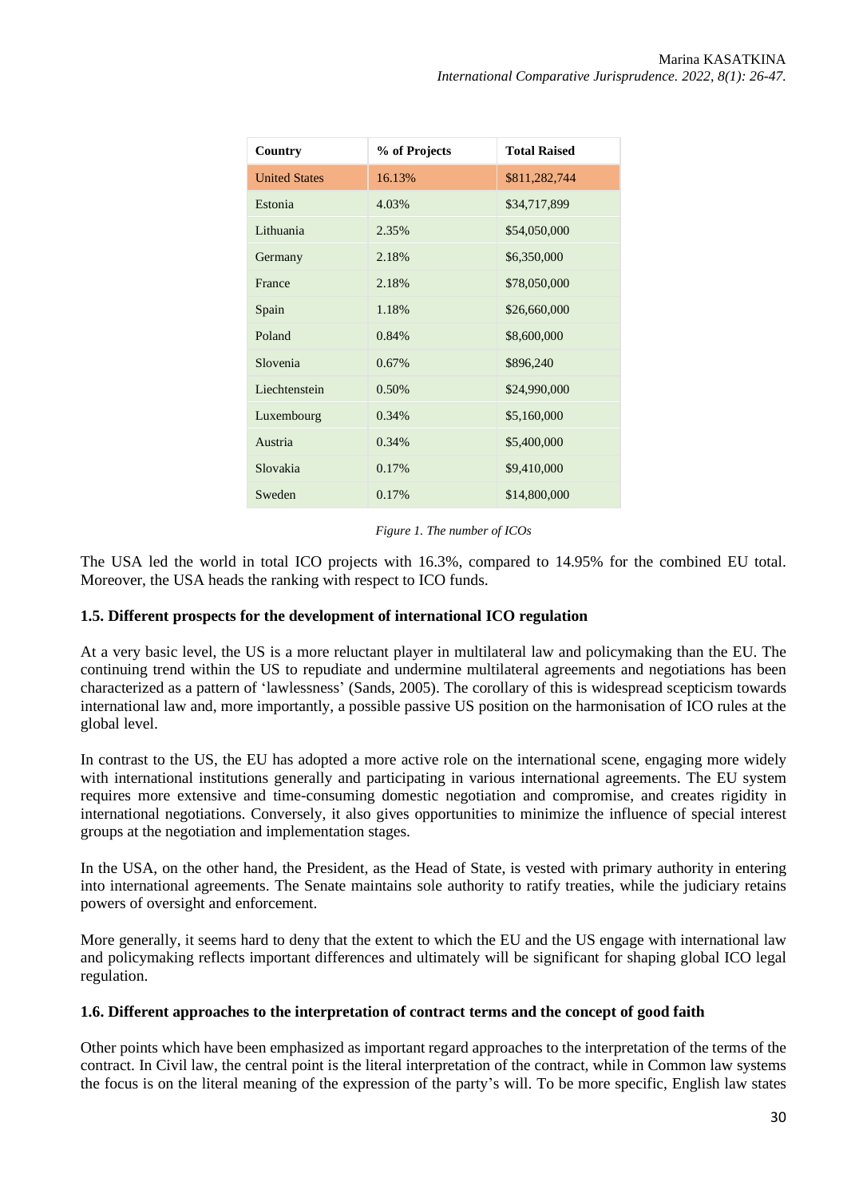| Country              | % of Projects | <b>Total Raised</b> |
|----------------------|---------------|---------------------|
| <b>United States</b> | 16.13%        | \$811,282,744       |
| Estonia              | 4.03%         | \$34,717,899        |
| Lithuania            | 2.35%         | \$54,050,000        |
| Germany              | 2.18%         | \$6,350,000         |
| France               | 2.18%         | \$78,050,000        |
| Spain                | 1.18%         | \$26,660,000        |
| Poland               | 0.84%         | \$8,600,000         |
| Slovenia             | $0.67\%$      | \$896,240           |
| Liechtenstein        | 0.50%         | \$24,990,000        |
| Luxembourg           | 0.34%         | \$5,160,000         |
| Austria              | 0.34%         | \$5,400,000         |
| Slovakia             | 0.17%         | \$9,410,000         |
| Sweden               | 0.17%         | \$14,800,000        |

#### *Figure 1. The number of ICOs*

The USA led the world in total ICO projects with 16.3%, compared to 14.95% for the combined EU total. Moreover, the USA heads the ranking with respect to ICO funds.

### **1.5. Different prospects for the development of international ICO regulation**

At a very basic level, the US is a more reluctant player in multilateral law and policymaking than the EU. The continuing trend within the US to repudiate and undermine multilateral agreements and negotiations has been characterized as a pattern of 'lawlessness' (Sands, 2005). The corollary of this is widespread scepticism towards international law and, more importantly, a possible passive US position on the harmonisation of ICO rules at the global level.

In contrast to the US, the EU has adopted a more active role on the international scene, engaging more widely with international institutions generally and participating in various international agreements. The EU system requires more extensive and time-consuming domestic negotiation and compromise, and creates rigidity in international negotiations. Conversely, it also gives opportunities to minimize the influence of special interest groups at the negotiation and implementation stages.

In the USA, on the other hand, the President, as the Head of State, is vested with primary authority in entering into international agreements. The Senate maintains sole authority to ratify treaties, while the judiciary retains powers of oversight and enforcement.

More generally, it seems hard to deny that the extent to which the EU and the US engage with international law and policymaking reflects important differences and ultimately will be significant for shaping global ICO legal regulation.

#### **1.6. Different approaches to the interpretation of contract terms and the concept of good faith**

Other points which have been emphasized as important regard approaches to the interpretation of the terms of the contract. In Civil law, the central point is the literal interpretation of the contract, while in Common law systems the focus is on the literal meaning of the expression of the party's will. To be more specific, English law states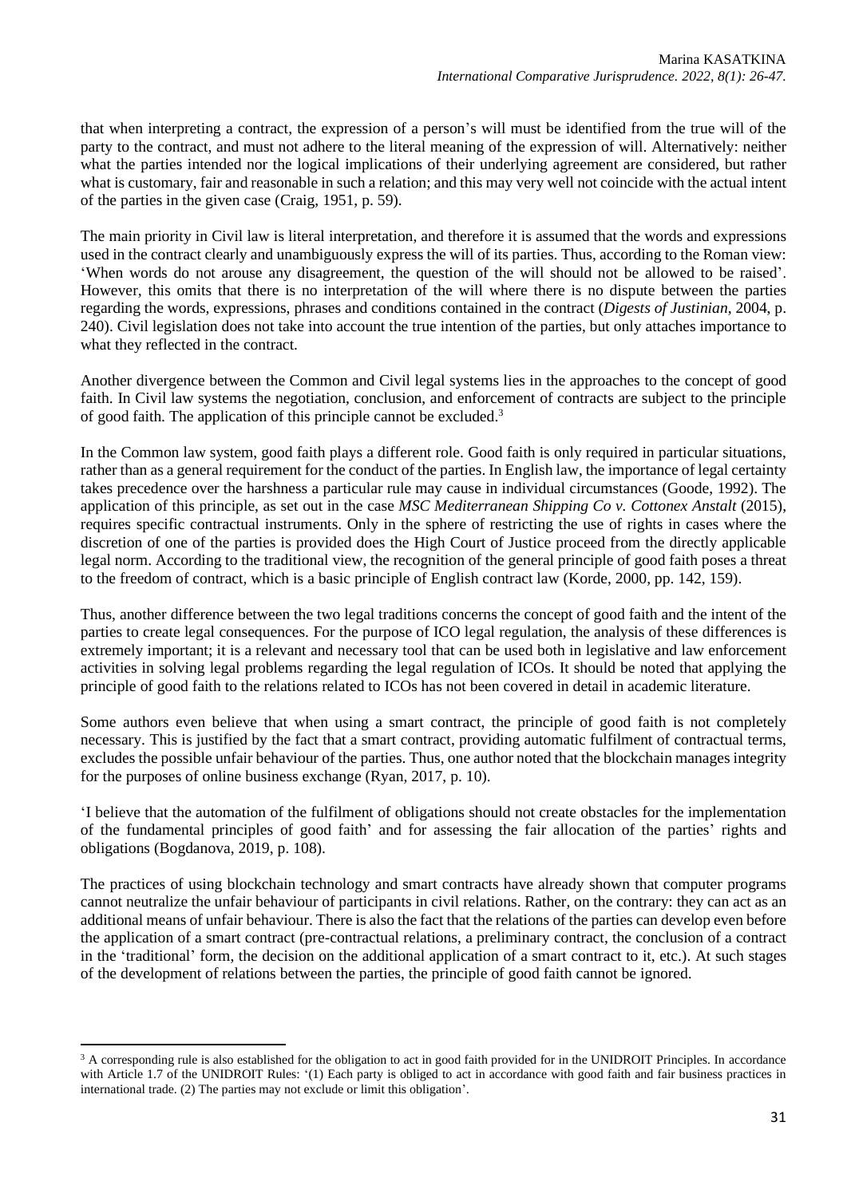that when interpreting a contract, the expression of a person's will must be identified from the true will of the party to the contract, and must not adhere to the literal meaning of the expression of will. Alternatively: neither what the parties intended nor the logical implications of their underlying agreement are considered, but rather what is customary, fair and reasonable in such a relation; and this may very well not coincide with the actual intent of the parties in the given case (Craig, 1951, p. 59).

The main priority in Civil law is literal interpretation, and therefore it is assumed that the words and expressions used in the contract clearly and unambiguously express the will of its parties. Thus, according to the Roman view: 'When words do not arouse any disagreement, the question of the will should not be allowed to be raised'. However, this omits that there is no interpretation of the will where there is no dispute between the parties regarding the words, expressions, phrases and conditions contained in the contract (*Digests of Justinian*, 2004, p. 240). Civil legislation does not take into account the true intention of the parties, but only attaches importance to what they reflected in the contract.

Another divergence between the Common and Civil legal systems lies in the approaches to the concept of good faith. In Civil law systems the negotiation, conclusion, and enforcement of contracts are subject to the principle of good faith. The application of this principle cannot be excluded.<sup>3</sup>

In the Common law system, good faith plays a different role. Good faith is only required in particular situations, rather than as a general requirement for the conduct of the parties. In English law, the importance of legal certainty takes precedence over the harshness a particular rule may cause in individual circumstances (Goode, 1992). The application of this principle, as set out in the case *MSC Mediterranean Shipping Co v. Cottonex Anstalt* (2015), requires specific contractual instruments. Only in the sphere of restricting the use of rights in cases where the discretion of one of the parties is provided does the High Court of Justice proceed from the directly applicable legal norm. According to the traditional view, the recognition of the general principle of good faith poses a threat to the freedom of contract, which is a basic principle of English contract law (Korde, 2000, pp. 142, 159).

Thus, another difference between the two legal traditions concerns the concept of good faith and the intent of the parties to create legal consequences. For the purpose of ICO legal regulation, the analysis of these differences is extremely important; it is a relevant and necessary tool that can be used both in legislative and law enforcement activities in solving legal problems regarding the legal regulation of ICOs. It should be noted that applying the principle of good faith to the relations related to ICOs has not been covered in detail in academic literature.

Some authors even believe that when using a smart contract, the principle of good faith is not completely necessary. This is justified by the fact that a smart contract, providing automatic fulfilment of contractual terms, excludes the possible unfair behaviour of the parties. Thus, one author noted that the blockchain manages integrity for the purposes of online business exchange (Ryan, 2017, p. 10).

'I believe that the automation of the fulfilment of obligations should not create obstacles for the implementation of the fundamental principles of good faith' and for assessing the fair allocation of the parties' rights and obligations (Bogdanova, 2019, p. 108).

The practices of using blockchain technology and smart contracts have already shown that computer programs cannot neutralize the unfair behaviour of participants in civil relations. Rather, on the contrary: they can act as an additional means of unfair behaviour. There is also the fact that the relations of the parties can develop even before the application of a smart contract (pre-contractual relations, a preliminary contract, the conclusion of a contract in the 'traditional' form, the decision on the additional application of a smart contract to it, etc.). At such stages of the development of relations between the parties, the principle of good faith cannot be ignored.

<sup>&</sup>lt;sup>3</sup> A corresponding rule is also established for the obligation to act in good faith provided for in the UNIDROIT Principles. In accordance with Article 1.7 of the UNIDROIT Rules: '(1) Each party is obliged to act in accordance with good faith and fair business practices in international trade. (2) The parties may not exclude or limit this obligation'.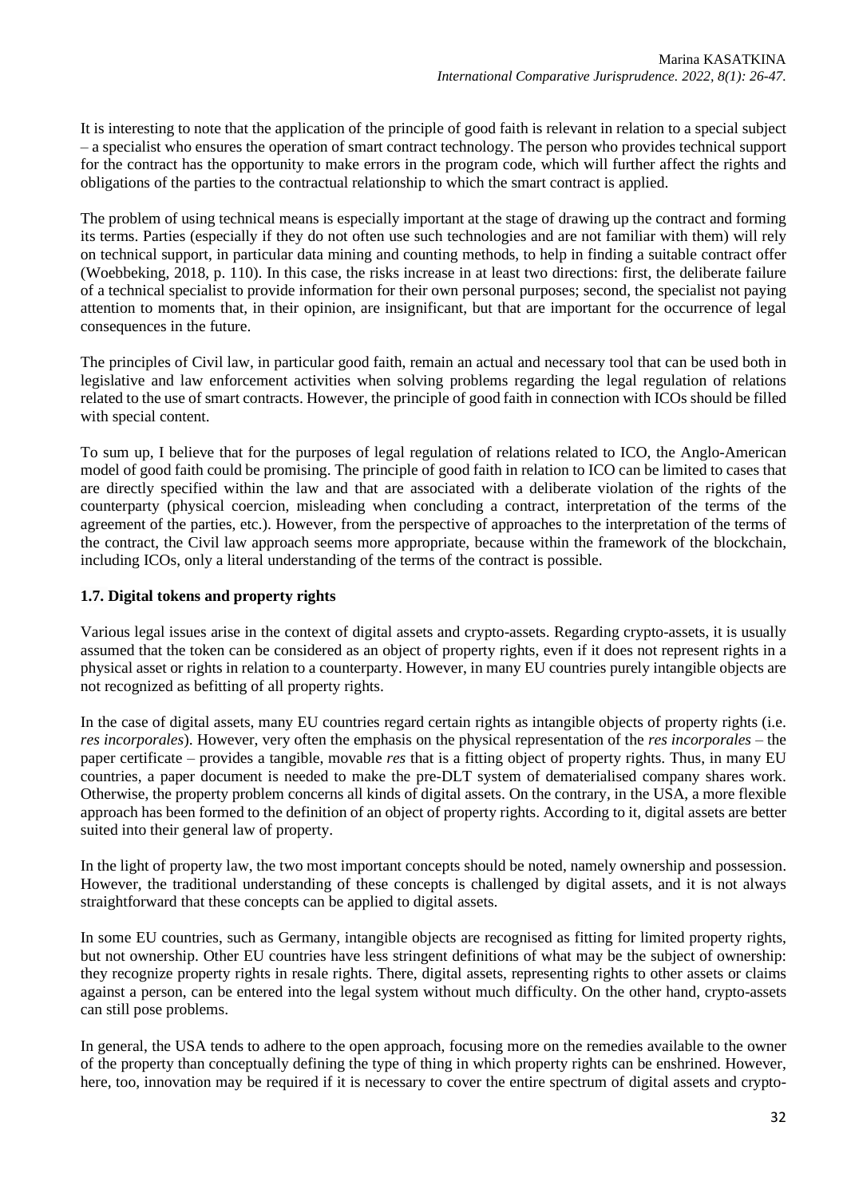It is interesting to note that the application of the principle of good faith is relevant in relation to a special subject – a specialist who ensures the operation of smart contract technology. The person who provides technical support for the contract has the opportunity to make errors in the program code, which will further affect the rights and obligations of the parties to the contractual relationship to which the smart contract is applied.

The problem of using technical means is especially important at the stage of drawing up the contract and forming its terms. Parties (especially if they do not often use such technologies and are not familiar with them) will rely on technical support, in particular data mining and counting methods, to help in finding a suitable contract offer (Woebbeking, 2018, p. 110). In this case, the risks increase in at least two directions: first, the deliberate failure of a technical specialist to provide information for their own personal purposes; second, the specialist not paying attention to moments that, in their opinion, are insignificant, but that are important for the occurrence of legal consequences in the future.

The principles of Civil law, in particular good faith, remain an actual and necessary tool that can be used both in legislative and law enforcement activities when solving problems regarding the legal regulation of relations related to the use of smart contracts. However, the principle of good faith in connection with ICOs should be filled with special content.

To sum up, I believe that for the purposes of legal regulation of relations related to ICO, the Anglo-American model of good faith could be promising. The principle of good faith in relation to ICO can be limited to cases that are directly specified within the law and that are associated with a deliberate violation of the rights of the counterparty (physical coercion, misleading when concluding a contract, interpretation of the terms of the agreement of the parties, etc.). However, from the perspective of approaches to the interpretation of the terms of the contract, the Civil law approach seems more appropriate, because within the framework of the blockchain, including ICOs, only a literal understanding of the terms of the contract is possible.

# **1.7. Digital tokens and property rights**

Various legal issues arise in the context of digital assets and crypto-assets. Regarding crypto-assets, it is usually assumed that the token can be considered as an object of property rights, even if it does not represent rights in a physical asset or rights in relation to a counterparty. However, in many EU countries purely intangible objects are not recognized as befitting of all property rights.

In the case of digital assets, many EU countries regard certain rights as intangible objects of property rights (i.e. *res incorporales*). However, very often the emphasis on the physical representation of the *res incorporales* – the paper certificate – provides a tangible, movable *res* that is a fitting object of property rights. Thus, in many EU countries, a paper document is needed to make the pre-DLT system of dematerialised company shares work. Otherwise, the property problem concerns all kinds of digital assets. On the contrary, in the USA, a more flexible approach has been formed to the definition of an object of property rights. According to it, digital assets are better suited into their general law of property.

In the light of property law, the two most important concepts should be noted, namely ownership and possession. However, the traditional understanding of these concepts is challenged by digital assets, and it is not always straightforward that these concepts can be applied to digital assets.

In some EU countries, such as Germany, intangible objects are recognised as fitting for limited property rights, but not ownership. Other EU countries have less stringent definitions of what may be the subject of ownership: they recognize property rights in resale rights. There, digital assets, representing rights to other assets or claims against a person, can be entered into the legal system without much difficulty. On the other hand, crypto-assets can still pose problems.

In general, the USA tends to adhere to the open approach, focusing more on the remedies available to the owner of the property than conceptually defining the type of thing in which property rights can be enshrined. However, here, too, innovation may be required if it is necessary to cover the entire spectrum of digital assets and crypto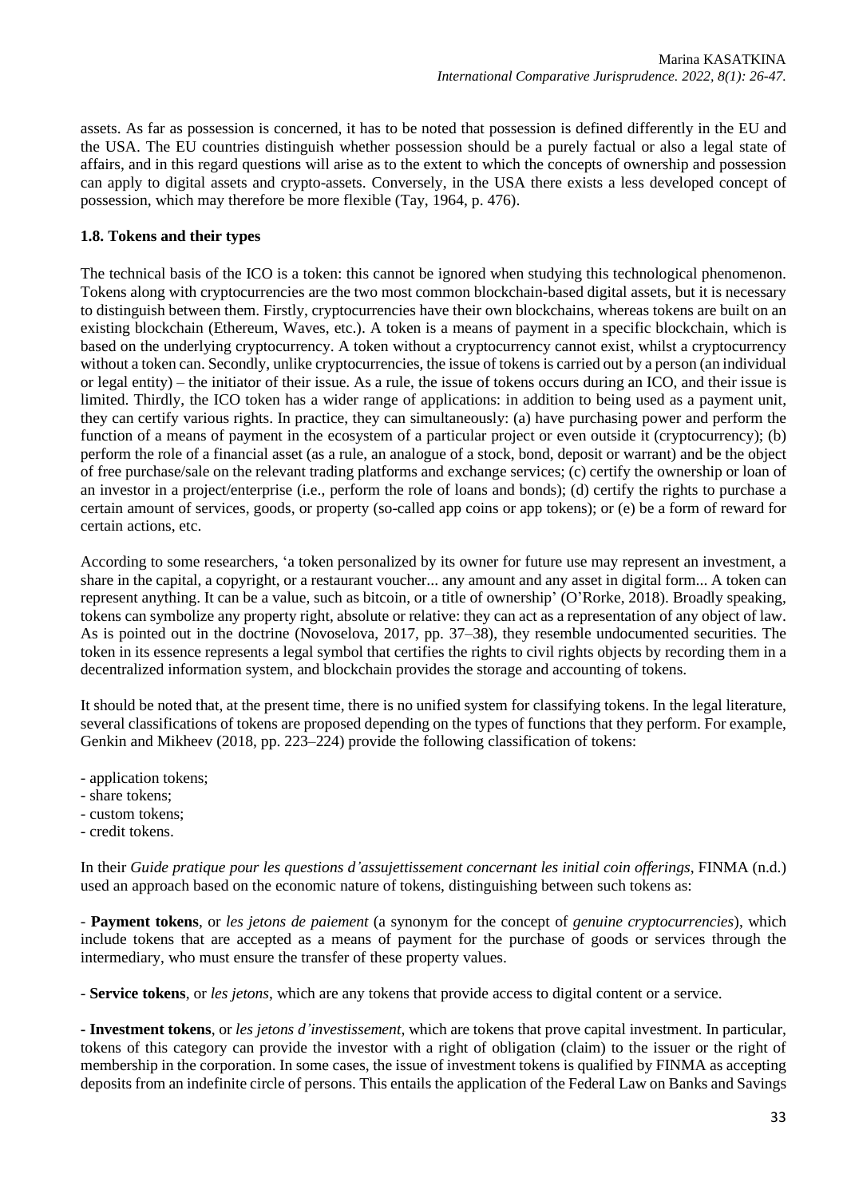assets. As far as possession is concerned, it has to be noted that possession is defined differently in the EU and the USA. The EU countries distinguish whether possession should be a purely factual or also a legal state of affairs, and in this regard questions will arise as to the extent to which the concepts of ownership and possession can apply to digital assets and crypto-assets. Conversely, in the USA there exists a less developed concept of possession, which may therefore be more flexible (Tay, 1964, p. 476).

# **1.8. Tokens and their types**

The technical basis of the ICO is a token: this cannot be ignored when studying this technological phenomenon. Tokens along with cryptocurrencies are the two most common blockchain-based digital assets, but it is necessary to distinguish between them. Firstly, cryptocurrencies have their own blockchains, whereas tokens are built on an existing blockchain (Ethereum, Waves, etc.). A token is a means of payment in a specific blockchain, which is based on the underlying cryptocurrency. A token without a cryptocurrency cannot exist, whilst a cryptocurrency without a token can. Secondly, unlike cryptocurrencies, the issue of tokens is carried out by a person (an individual or legal entity) – the initiator of their issue. As a rule, the issue of tokens occurs during an ICO, and their issue is limited. Thirdly, the ICO token has a wider range of applications: in addition to being used as a payment unit, they can certify various rights. In practice, they can simultaneously: (a) have purchasing power and perform the function of a means of payment in the ecosystem of a particular project or even outside it (cryptocurrency); (b) perform the role of a financial asset (as a rule, an analogue of a stock, bond, deposit or warrant) and be the object of free purchase/sale on the relevant trading platforms and exchange services; (c) certify the ownership or loan of an investor in a project/enterprise (i.e., perform the role of loans and bonds); (d) certify the rights to purchase a certain amount of services, goods, or property (so-called app coins or app tokens); or (e) be a form of reward for certain actions, etc.

According to some researchers, 'a token personalized by its owner for future use may represent an investment, a share in the capital, a copyright, or a restaurant voucher... any amount and any asset in digital form... A token can represent anything. It can be a value, such as bitcoin, or a title of ownership' (O'Rorke, 2018). Broadly speaking, tokens can symbolize any property right, absolute or relative: they can act as a representation of any object of law. As is pointed out in the doctrine (Novoselova, 2017, pp. 37–38), they resemble undocumented securities. The token in its essence represents a legal symbol that certifies the rights to civil rights objects by recording them in a decentralized information system, and blockchain provides the storage and accounting of tokens.

It should be noted that, at the present time, there is no unified system for classifying tokens. In the legal literature, several classifications of tokens are proposed depending on the types of functions that they perform. For example, Genkin and Mikheev (2018, pp. 223–224) provide the following classification of tokens:

- application tokens;
- share tokens;
- custom tokens;
- credit tokens.

In their *Guide pratique pour les questions d'assujettissement concernant les initial coin offerings*, FINMA (n.d.) used an approach based on the economic nature of tokens, distinguishing between such tokens as:

- **Payment tokens**, or *les jetons de paiement* (a synonym for the concept of *genuine cryptocurrencies*), which include tokens that are accepted as a means of payment for the purchase of goods or services through the intermediary, who must ensure the transfer of these property values.

- **Service tokens**, or *les jetons*, which are any tokens that provide access to digital content or a service.

**- Investment tokens**, or *les jetons d'investissement*, which are tokens that prove capital investment. In particular, tokens of this category can provide the investor with a right of obligation (claim) to the issuer or the right of membership in the corporation. In some cases, the issue of investment tokens is qualified by FINMA as accepting deposits from an indefinite circle of persons. This entails the application of the Federal Law on Banks and Savings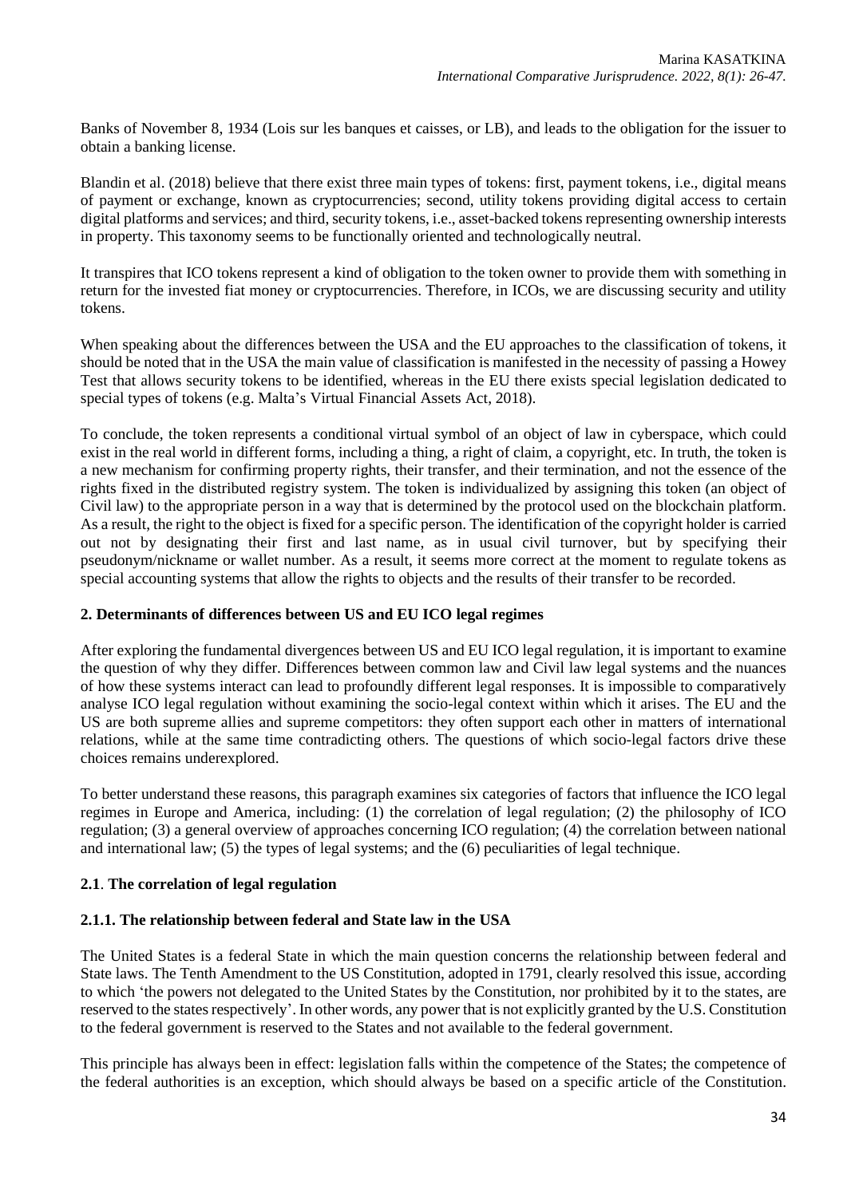Banks of November 8, 1934 (Lois sur les banques et caisses, or LB), and leads to the obligation for the issuer to obtain a banking license.

Blandin et al. (2018) believe that there exist three main types of tokens: first, payment tokens, i.e., digital means of payment or exchange, known as cryptocurrencies; second, utility tokens providing digital access to certain digital platforms and services; and third, security tokens, i.e., asset-backed tokens representing ownership interests in property. This taxonomy seems to be functionally oriented and technologically neutral.

It transpires that ICO tokens represent a kind of obligation to the token owner to provide them with something in return for the invested fiat money or cryptocurrencies. Therefore, in ICOs, we are discussing security and utility tokens.

When speaking about the differences between the USA and the EU approaches to the classification of tokens, it should be noted that in the USA the main value of classification is manifested in the necessity of passing a Howey Test that allows security tokens to be identified, whereas in the EU there exists special legislation dedicated to special types of tokens (e.g. Malta's Virtual Financial Assets Act, 2018).

To conclude, the token represents a conditional virtual symbol of an object of law in cyberspace, which could exist in the real world in different forms, including a thing, a right of claim, a copyright, etc. In truth, the token is a new mechanism for confirming property rights, their transfer, and their termination, and not the essence of the rights fixed in the distributed registry system. The token is individualized by assigning this token (an object of Civil law) to the appropriate person in a way that is determined by the protocol used on the blockchain platform. As a result, the right to the object is fixed for a specific person. The identification of the copyright holder is carried out not by designating their first and last name, as in usual civil turnover, but by specifying their pseudonym/nickname or wallet number. As a result, it seems more correct at the moment to regulate tokens as special accounting systems that allow the rights to objects and the results of their transfer to be recorded.

## **2. Determinants of differences between US and EU ICO legal regimes**

After exploring the fundamental divergences between US and EU ICO legal regulation, it is important to examine the question of why they differ. Differences between common law and Civil law legal systems and the nuances of how these systems interact can lead to profoundly different legal responses. It is impossible to comparatively analyse ICO legal regulation without examining the socio-legal context within which it arises. The EU and the US are both supreme allies and supreme competitors: they often support each other in matters of international relations, while at the same time contradicting others. The questions of which socio-legal factors drive these choices remains underexplored.

To better understand these reasons, this paragraph examines six categories of factors that influence the ICO legal regimes in Europe and America, including: (1) the correlation of legal regulation; (2) the philosophy of ICO regulation; (3) a general overview of approaches concerning ICO regulation; (4) the correlation between national and international law; (5) the types of legal systems; and the (6) peculiarities of legal technique.

## **2.1**. **The correlation of legal regulation**

## **2.1.1. The relationship between federal and State law in the USA**

The United States is a federal State in which the main question concerns the relationship between federal and State laws. The Tenth Amendment to the US Constitution, adopted in 1791, clearly resolved this issue, according to which 'the powers not delegated to the United States by the Constitution, nor prohibited by it to the states, are reserved to the states respectively'. In other words, any power that is not explicitly granted by the U.S. Constitution to the federal government is reserved to the States and not available to the federal government.

This principle has always been in effect: legislation falls within the competence of the States; the competence of the federal authorities is an exception, which should always be based on a specific article of the Constitution.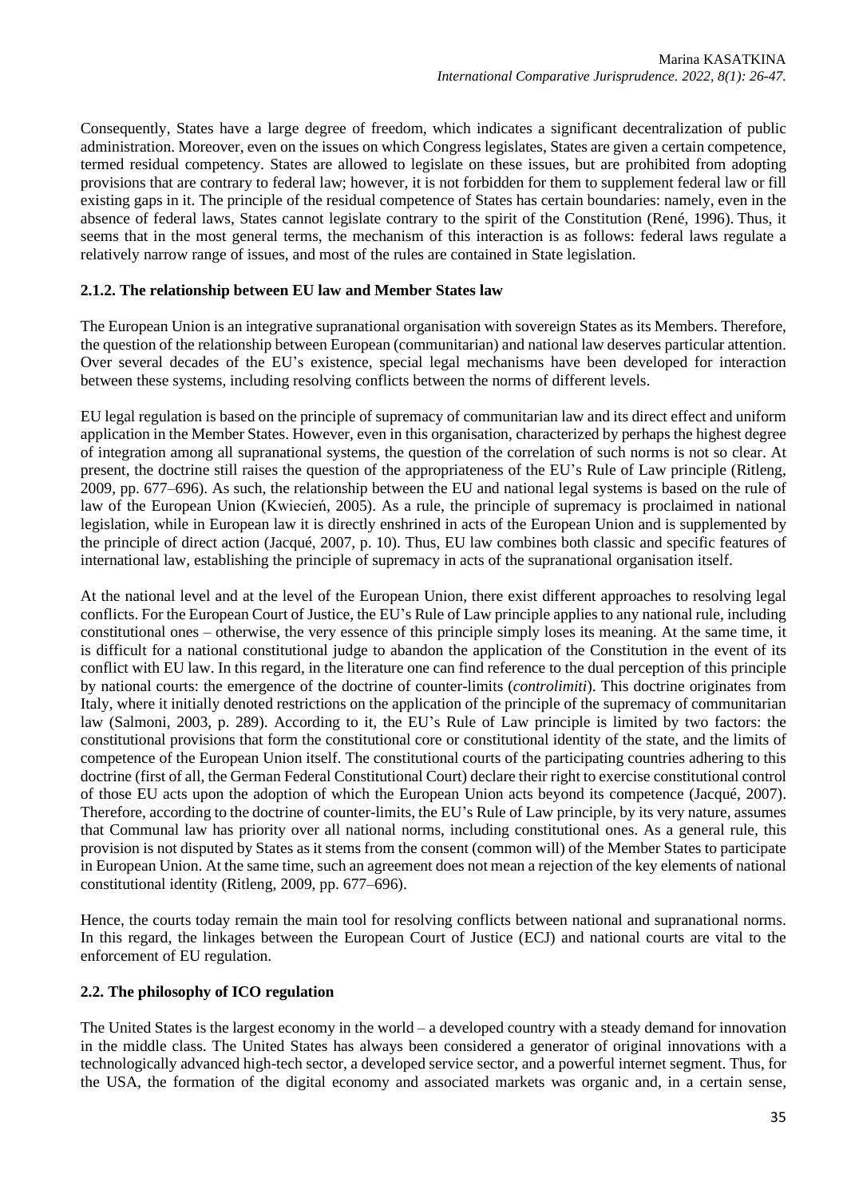Consequently, States have a large degree of freedom, which indicates a significant decentralization of public administration. Moreover, even on the issues on which Congress legislates, States are given a certain competence, termed residual competency. States are allowed to legislate on these issues, but are prohibited from adopting provisions that are contrary to federal law; however, it is not forbidden for them to supplement federal law or fill existing gaps in it. The principle of the residual competence of States has certain boundaries: namely, even in the absence of federal laws, States cannot legislate contrary to the spirit of the Constitution (René, 1996). Thus, it seems that in the most general terms, the mechanism of this interaction is as follows: federal laws regulate a relatively narrow range of issues, and most of the rules are contained in State legislation.

# **2.1.2. The relationship between EU law and Member States law**

The European Union is an integrative supranational organisation with sovereign States as its Members. Therefore, the question of the relationship between European (communitarian) and national law deserves particular attention. Over several decades of the EU's existence, special legal mechanisms have been developed for interaction between these systems, including resolving conflicts between the norms of different levels.

EU legal regulation is based on the principle of supremacy of communitarian law and its direct effect and uniform application in the Member States. However, even in this organisation, characterized by perhaps the highest degree of integration among all supranational systems, the question of the correlation of such norms is not so clear. At present, the doctrine still raises the question of the appropriateness of the EU's Rule of Law principle (Ritleng, 2009, pp. 677–696). As such, the relationship between the EU and national legal systems is based on the rule of law of the European Union [\(Kwiecień,](https://doi.org/10.1017/S2071832200014450) 2005). As a rule, the principle of supremacy is proclaimed in national legislation, while in European law it is directly enshrined in acts of the European Union and is supplemented by the principle of direct action (Jacqué, 2007, p. 10). Thus, EU law combines both classic and specific features of international law, establishing the principle of supremacy in acts of the supranational organisation itself.

At the national level and at the level of the European Union, there exist different approaches to resolving legal conflicts. For the European Court of Justice, the EU's Rule of Law principle applies to any national rule, including constitutional ones – otherwise, the very essence of this principle simply loses its meaning. At the same time, it is difficult for a national constitutional judge to abandon the application of the Constitution in the event of its conflict with EU law. In this regard, in the literature one can find reference to the dual perception of this principle by national courts: the emergence of the doctrine of counter-limits (*controlimiti*). This doctrine originates from Italy, where it initially denoted restrictions on the application of the principle of the supremacy of communitarian law (Salmoni, 2003, p. 289). According to it, the EU's Rule of Law principle is limited by two factors: the constitutional provisions that form the constitutional core or constitutional identity of the state, and the limits of competence of the European Union itself. The constitutional courts of the participating countries adhering to this doctrine (first of all, the German Federal Constitutional Court) declare their right to exercise constitutional control of those EU acts upon the adoption of which the European Union acts beyond its competence (Jacqué, 2007). Therefore, according to the doctrine of counter-limits, the EU's Rule of Law principle, by its very nature, assumes that Communal law has priority over all national norms, including constitutional ones. As a general rule, this provision is not disputed by States as it stems from the consent (common will) of the Member States to participate in European Union. At the same time, such an agreement does not mean a rejection of the key elements of national constitutional identity (Ritleng, 2009, pp. 677–696).

Hence, the courts today remain the main tool for resolving conflicts between national and supranational norms. In this regard, the linkages between the European Court of Justice (ECJ) and national courts are vital to the enforcement of EU regulation.

## **2.2. The philosophy of ICO regulation**

The United States is the largest economy in the world – a developed country with a steady demand for innovation in the middle class. The United States has always been considered a generator of original innovations with a technologically advanced high-tech sector, a developed service sector, and a powerful internet segment. Thus, for the USA, the formation of the digital economy and associated markets was organic and, in a certain sense,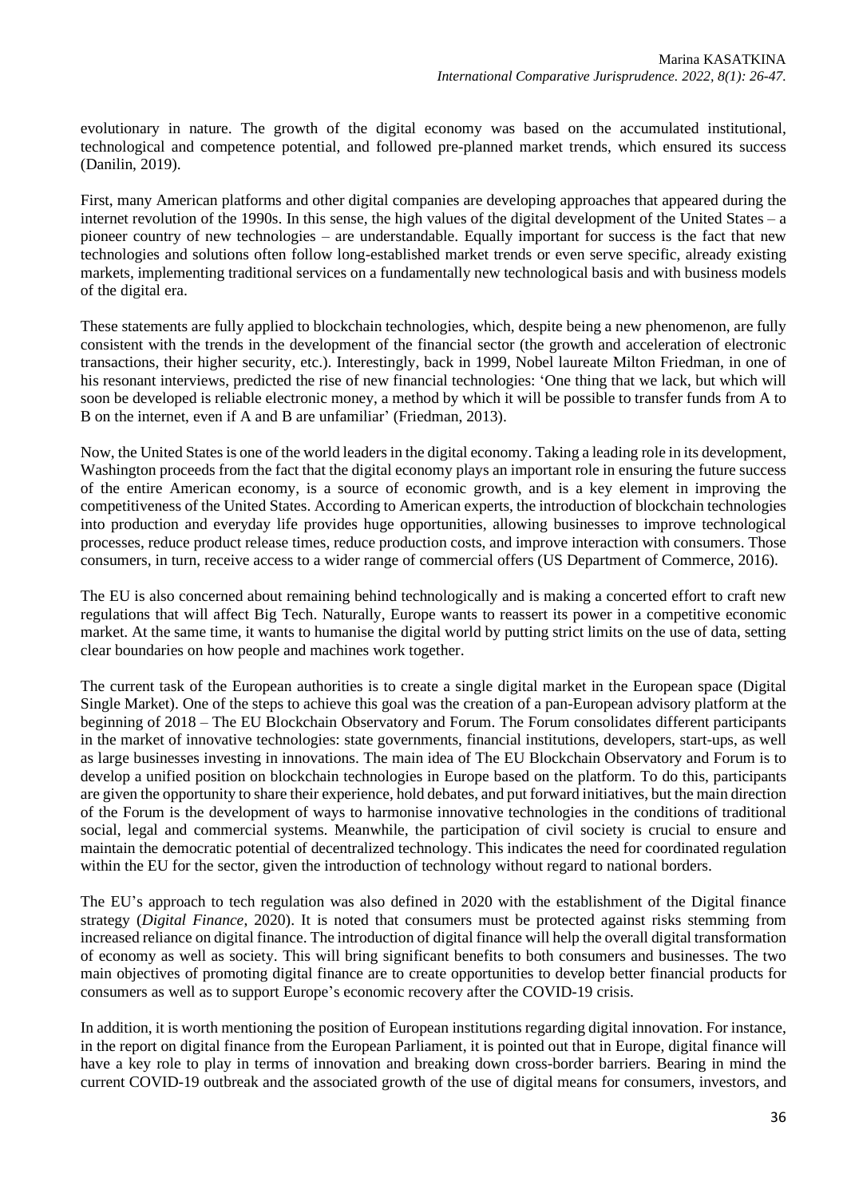evolutionary in nature. The growth of the digital economy was based on the accumulated institutional, technological and competence potential, and followed pre-planned market trends, which ensured its success (Danilin, 2019).

First, many American platforms and other digital companies are developing approaches that appeared during the internet revolution of the 1990s. In this sense, the high values of the digital development of the United States – a pioneer country of new technologies – are understandable. Equally important for success is the fact that new technologies and solutions often follow long-established market trends or even serve specific, already existing markets, implementing traditional services on a fundamentally new technological basis and with business models of the digital era.

These statements are fully applied to blockchain technologies, which, despite being a new phenomenon, are fully consistent with the trends in the development of the financial sector (the growth and acceleration of electronic transactions, their higher security, etc.). Interestingly, back in 1999, Nobel laureate Milton Friedman, in one of his resonant interviews, predicted the rise of new financial technologies: 'One thing that we lack, but which will soon be developed is reliable electronic money, a method by which it will be possible to transfer funds from A to B on the internet, even if A and B are unfamiliar' (Friedman, 2013).

Now, the United Statesis one of the world leaders in the digital economy. Taking a leading role in its development, Washington proceeds from the fact that the digital economy plays an important role in ensuring the future success of the entire American economy, is a source of economic growth, and is a key element in improving the competitiveness of the United States. According to American experts, the introduction of blockchain technologies into production and everyday life provides huge opportunities, allowing businesses to improve technological processes, reduce product release times, reduce production costs, and improve interaction with consumers. Those consumers, in turn, receive access to a wider range of commercial offers (US Department of Commerce, 2016).

The EU is also concerned about remaining behind technologically and is making a concerted effort to craft new regulations that will affect Big Tech. Naturally, Europe wants to reassert its power in a competitive economic market. At the same time, it wants to humanise the digital world by putting strict limits on the use of data, setting clear boundaries on how people and machines work together.

The current task of the European authorities is to create a single digital market in the European space (Digital Single Market). One of the steps to achieve this goal was the creation of a pan-European advisory platform at the beginning of 2018 – The EU Blockchain Observatory and Forum. The Forum consolidates different participants in the market of innovative technologies: state governments, financial institutions, developers, start-ups, as well as large businesses investing in innovations. The main idea of The EU Blockchain Observatory and Forum is to develop a unified position on blockchain technologies in Europe based on the platform. To do this, participants are given the opportunity to share their experience, hold debates, and put forward initiatives, but the main direction of the Forum is the development of ways to harmonise innovative technologies in the conditions of traditional social, legal and commercial systems. Meanwhile, the participation of civil society is crucial to ensure and maintain the democratic potential of decentralized technology. This indicates the need for coordinated regulation within the EU for the sector, given the introduction of technology without regard to national borders.

The EU's approach to tech regulation was also defined in 2020 with the establishment of the Digital finance strategy (*Digital Finance*, 2020). It is noted that consumers must be protected against risks stemming from increased reliance on digital finance. The introduction of digital finance will help the overall digital transformation of economy as well as society. This will bring significant benefits to both consumers and businesses. The two main objectives of promoting digital finance are to create opportunities to develop better financial products for consumers as well as to support Europe's economic recovery after the COVID-19 crisis.

In addition, it is worth mentioning the position of European institutions regarding digital innovation. For instance, in the report on digital finance from the European Parliament, it is pointed out that in Europe, digital finance will have a key role to play in terms of innovation and breaking down cross-border barriers. Bearing in mind the current COVID-19 outbreak and the associated growth of the use of digital means for consumers, investors, and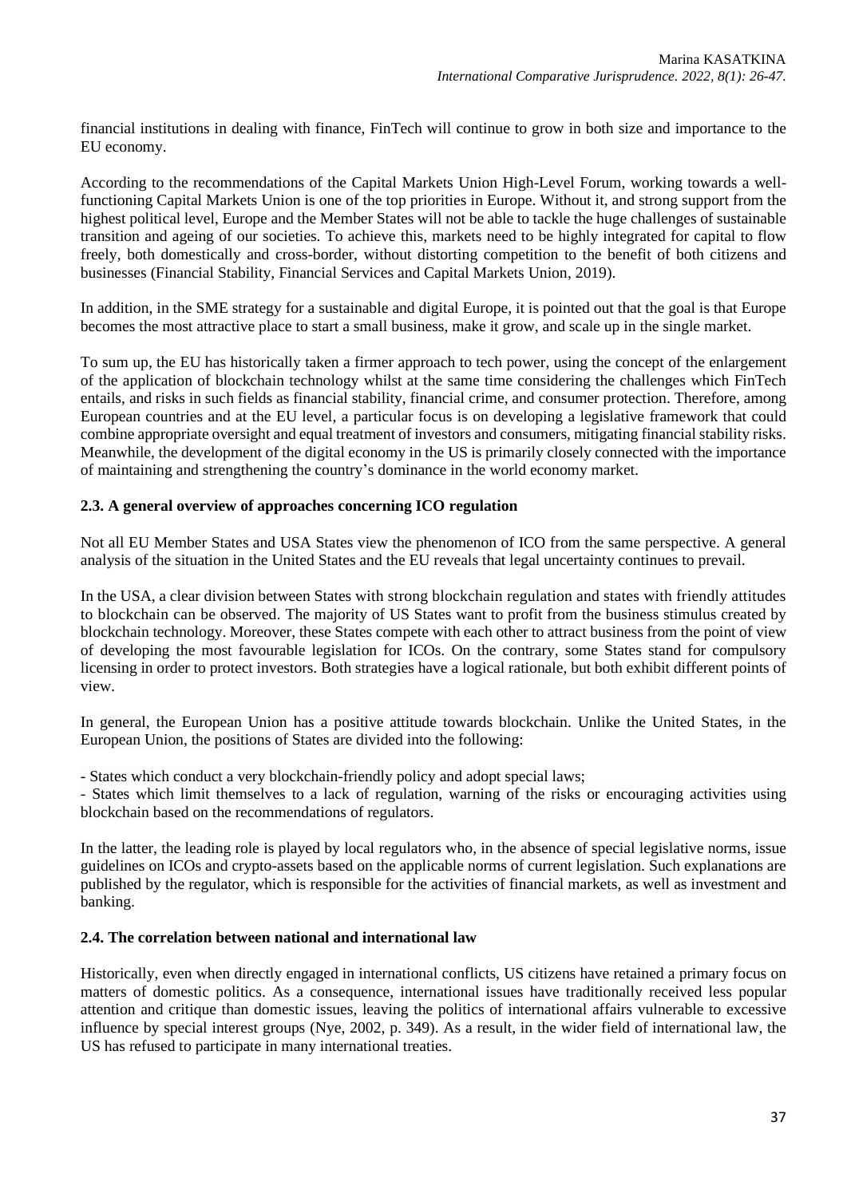financial institutions in dealing with finance, FinTech will continue to grow in both size and importance to the EU economy.

According to the recommendations of the Capital Markets Union High-Level Forum, working towards a wellfunctioning Capital Markets Union is one of the top priorities in Europe. Without it, and strong support from the highest political level, Europe and the Member States will not be able to tackle the huge challenges of sustainable transition and ageing of our societies. To achieve this, markets need to be highly integrated for capital to flow freely, both domestically and cross-border, without distorting competition to the benefit of both citizens and businesses (Financial Stability, Financial Services and Capital Markets Union, 2019).

In addition, in the SME strategy for a sustainable and digital Europe, it is pointed out that the goal is that Europe becomes the most attractive place to start a small business, make it grow, and scale up in the single market.

To sum up, the EU has historically taken a firmer approach to tech power, using the concept of the enlargement of the application of blockchain technology whilst at the same time considering the challenges which FinTech entails, and risks in such fields as financial stability, financial crime, and consumer protection. Therefore, among European countries and at the EU level, a particular focus is on developing a legislative framework that could combine appropriate oversight and equal treatment of investors and consumers, mitigating financial stability risks. Meanwhile, the development of the digital economy in the US is primarily closely connected with the importance of maintaining and strengthening the country's dominance in the world economy market.

### **2.3. A general overview of approaches concerning ICO regulation**

Not all EU Member States and USA States view the phenomenon of ICO from the same perspective. A general analysis of the situation in the United States and the EU reveals that legal uncertainty continues to prevail.

In the USA, a clear division between States with strong blockchain regulation and states with friendly attitudes to blockchain can be observed. The majority of US States want to profit from the business stimulus created by blockchain technology. Moreover, these States compete with each other to attract business from the point of view of developing the most favourable legislation for ICOs. On the contrary, some States stand for compulsory licensing in order to protect investors. Both strategies have a logical rationale, but both exhibit different points of view.

In general, the European Union has a positive attitude towards blockchain. Unlike the United States, in the European Union, the positions of States are divided into the following:

- States which conduct a very blockchain-friendly policy and adopt special laws;

- States which limit themselves to a lack of regulation, warning of the risks or encouraging activities using blockchain based on the recommendations of regulators.

In the latter, the leading role is played by local regulators who, in the absence of special legislative norms, issue guidelines on ICOs and crypto-assets based on the applicable norms of current legislation. Such explanations are published by the regulator, which is responsible for the activities of financial markets, as well as investment and banking.

#### **2.4. The correlation between national and international law**

Historically, even when directly engaged in international conflicts, US citizens have retained a primary focus on matters of domestic politics. As a consequence, international issues have traditionally received less popular attention and critique than domestic issues, leaving the politics of international affairs vulnerable to excessive influence by special interest groups (Nye, 2002, p. 349). As a result, in the wider field of international law, the US has refused to participate in many international treaties.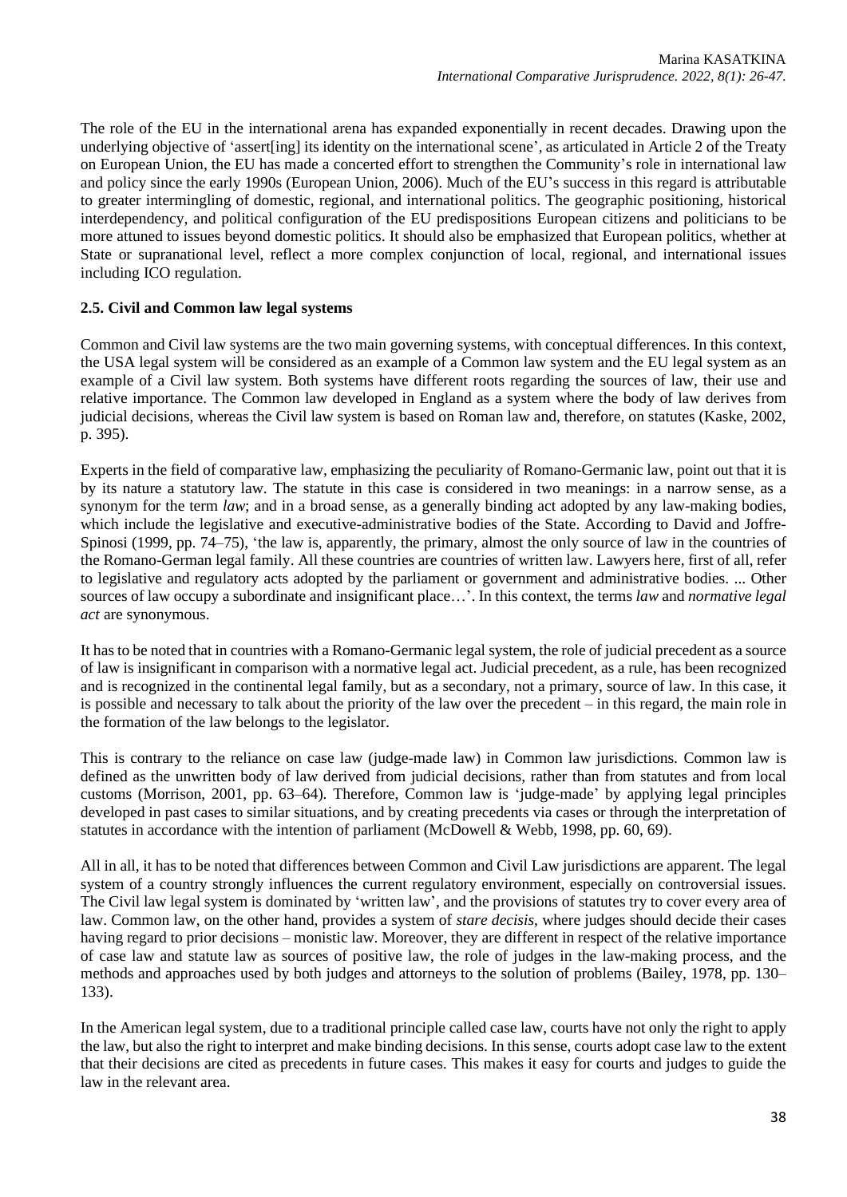The role of the EU in the international arena has expanded exponentially in recent decades. Drawing upon the underlying objective of 'assert[ing] its identity on the international scene', as articulated in Article 2 of the Treaty on European Union, the EU has made a concerted effort to strengthen the Community's role in international law and policy since the early 1990s (European Union, 2006). Much of the EU's success in this regard is attributable to greater intermingling of domestic, regional, and international politics. The geographic positioning, historical interdependency, and political configuration of the EU predispositions European citizens and politicians to be more attuned to issues beyond domestic politics. It should also be emphasized that European politics, whether at State or supranational level, reflect a more complex conjunction of local, regional, and international issues including ICO regulation.

# **2.5. Civil and Common law legal systems**

Common and Civil law systems are the two main governing systems, with conceptual differences. In this context, the USA legal system will be considered as an example of a Common law system and the EU legal system as an example of a Civil law system. Both systems have different roots regarding the sources of law, their use and relative importance. The Common law developed in England as a system where the body of law derives from judicial decisions, whereas the Civil law system is based on Roman law and, therefore, on statutes (Kaske, 2002, p. 395).

Experts in the field of comparative law, emphasizing the peculiarity of Romano-Germanic law, point out that it is by its nature a statutory law. The statute in this case is considered in two meanings: in a narrow sense, as a synonym for the term *law*; and in a broad sense, as a generally binding act adopted by any law-making bodies, which include the legislative and executive-administrative bodies of the State. According to David and Joffre-Spinosi (1999, pp. 74–75), 'the law is, apparently, the primary, almost the only source of law in the countries of the Romano-German legal family. All these countries are countries of written law. Lawyers here, first of all, refer to legislative and regulatory acts adopted by the parliament or government and administrative bodies. ... Other sources of law occupy a subordinate and insignificant place…'. In this context, the terms *law* and *normative legal act* are synonymous.

It has to be noted that in countries with a Romano-Germanic legal system, the role of judicial precedent as a source of law is insignificant in comparison with a normative legal act. Judicial precedent, as a rule, has been recognized and is recognized in the continental legal family, but as a secondary, not a primary, source of law. In this case, it is possible and necessary to talk about the priority of the law over the precedent – in this regard, the main role in the formation of the law belongs to the legislator.

This is contrary to the reliance on case law (judge-made law) in Common law jurisdictions. Common law is defined as the unwritten body of law derived from judicial decisions, rather than from statutes and from local customs (Morrison, 2001, pp. 63–64). Therefore, Common law is 'judge-made' by applying legal principles developed in past cases to similar situations, and by creating precedents via cases or through the interpretation of statutes in accordance with the intention of parliament (McDowell & Webb, 1998, pp. 60, 69).

All in all, it has to be noted that differences between Common and Civil Law jurisdictions are apparent. The legal system of a country strongly influences the current regulatory environment, especially on controversial issues. The Civil law legal system is dominated by 'written law', and the provisions of statutes try to cover every area of law. Common law, on the other hand, provides a system of *stare decisis*, where judges should decide their cases having regard to prior decisions – monistic law. Moreover, they are different in respect of the relative importance of case law and statute law as sources of positive law, the role of judges in the law-making process, and the methods and approaches used by both judges and attorneys to the solution of problems (Bailey, 1978, pp. 130– 133).

In the American legal system, due to a traditional principle called case law, courts have not only the right to apply the law, but also the right to interpret and make binding decisions. In this sense, courts adopt case law to the extent that their decisions are cited as precedents in future cases. This makes it easy for courts and judges to guide the law in the relevant area.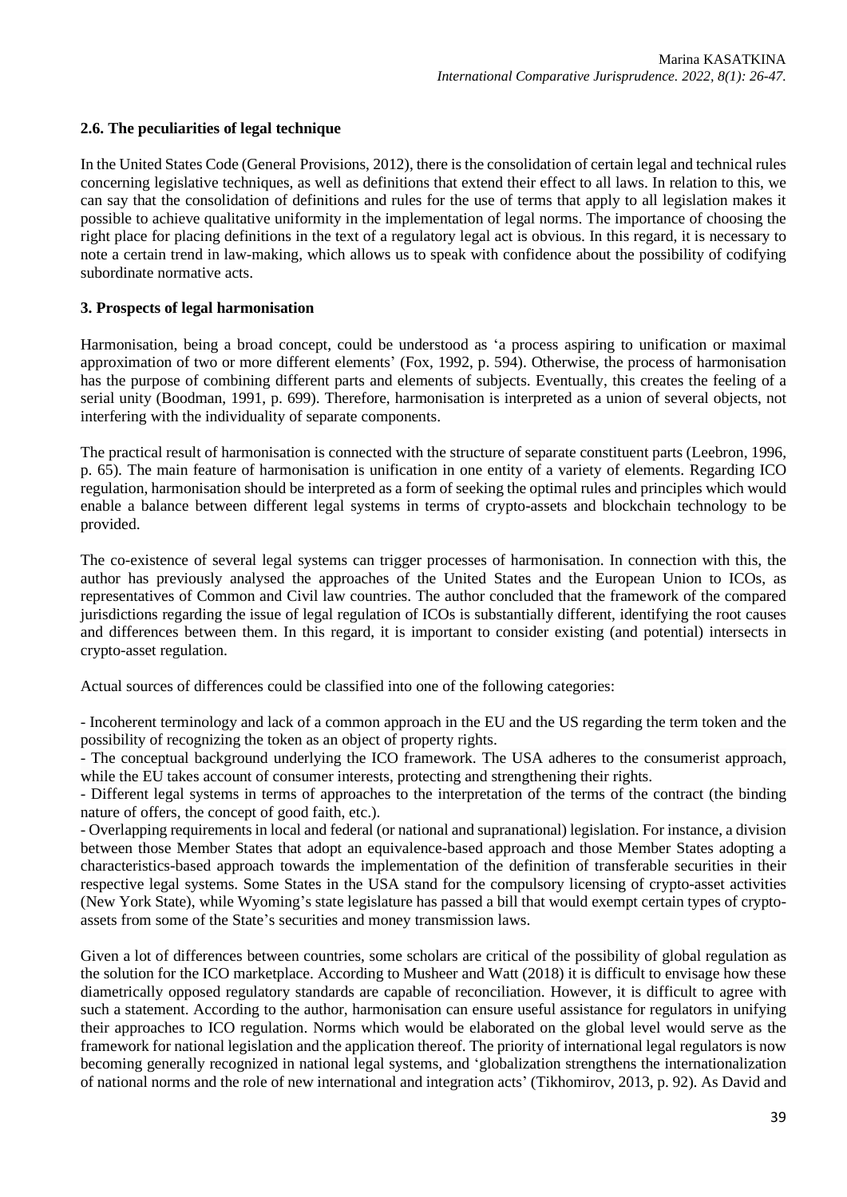## **2.6. The peculiarities of legal technique**

In the United States Code (General Provisions, 2012), there is the consolidation of certain legal and technical rules concerning legislative techniques, as well as definitions that extend their effect to all laws. In relation to this, we can say that the consolidation of definitions and rules for the use of terms that apply to all legislation makes it possible to achieve qualitative uniformity in the implementation of legal norms. The importance of choosing the right place for placing definitions in the text of a regulatory legal act is obvious. In this regard, it is necessary to note a certain trend in law-making, which allows us to speak with confidence about the possibility of codifying subordinate normative acts.

## **3. Prospects of legal harmonisation**

Harmonisation, being a broad concept, could be understood as 'a process aspiring to unification or maximal approximation of two or more different elements' (Fox, 1992, p. 594). Otherwise, the process of harmonisation has the purpose of combining different parts and elements of subjects. Eventually, this creates the feeling of a serial unity (Boodman, 1991, p. 699). Therefore, harmonisation is interpreted as a union of several objects, not interfering with the individuality of separate components.

The practical result of harmonisation is connected with the structure of separate constituent parts (Leebron, 1996, p. 65). The main feature of harmonisation is unification in one entity of a variety of elements. Regarding ICO regulation, harmonisation should be interpreted as a form of seeking the optimal rules and principles which would enable a balance between different legal systems in terms of crypto-assets and blockchain technology to be provided.

The co-existence of several legal systems can trigger processes of harmonisation. In connection with this, the author has previously analysed the approaches of the United States and the European Union to ICOs, as representatives of Common and Civil law countries. The author concluded that the framework of the compared jurisdictions regarding the issue of legal regulation of ICOs is substantially different, identifying the root causes and differences between them. In this regard, it is important to consider existing (and potential) intersects in crypto-asset regulation.

Actual sources of differences could be classified into one of the following categories:

- Incoherent terminology and lack of a common approach in the EU and the US regarding the term token and the possibility of recognizing the token as an object of property rights.

- The conceptual background underlying the ICO framework. The USA adheres to the consumerist approach, while the EU takes account of consumer interests, protecting and strengthening their rights.

- Different legal systems in terms of approaches to the interpretation of the terms of the contract (the binding nature of offers, the concept of good faith, etc.).

- Overlapping requirementsin local and federal (or national and supranational) legislation. For instance, a division between those Member States that adopt an equivalence-based approach and those Member States adopting a characteristics-based approach towards the implementation of the definition of transferable securities in their respective legal systems. Some States in the USA stand for the compulsory licensing of crypto-asset activities (New York State), while Wyoming's state legislature has passed a bill that would exempt certain types of cryptoassets from some of the State's securities and money transmission laws.

Given a lot of differences between countries, some scholars are critical of the possibility of global regulation as the solution for the ICO marketplace. According to Musheer and Watt (2018) it is difficult to envisage how these diametrically opposed regulatory standards are capable of reconciliation. However, it is difficult to agree with such a statement. According to the author, harmonisation can ensure useful assistance for regulators in unifying their approaches to ICO regulation. Norms which would be elaborated on the global level would serve as the framework for national legislation and the application thereof. The priority of international legal regulators is now becoming generally recognized in national legal systems, and 'globalization strengthens the internationalization of national norms and the role of new international and integration acts' (Tikhomirov, 2013, p. 92). As David and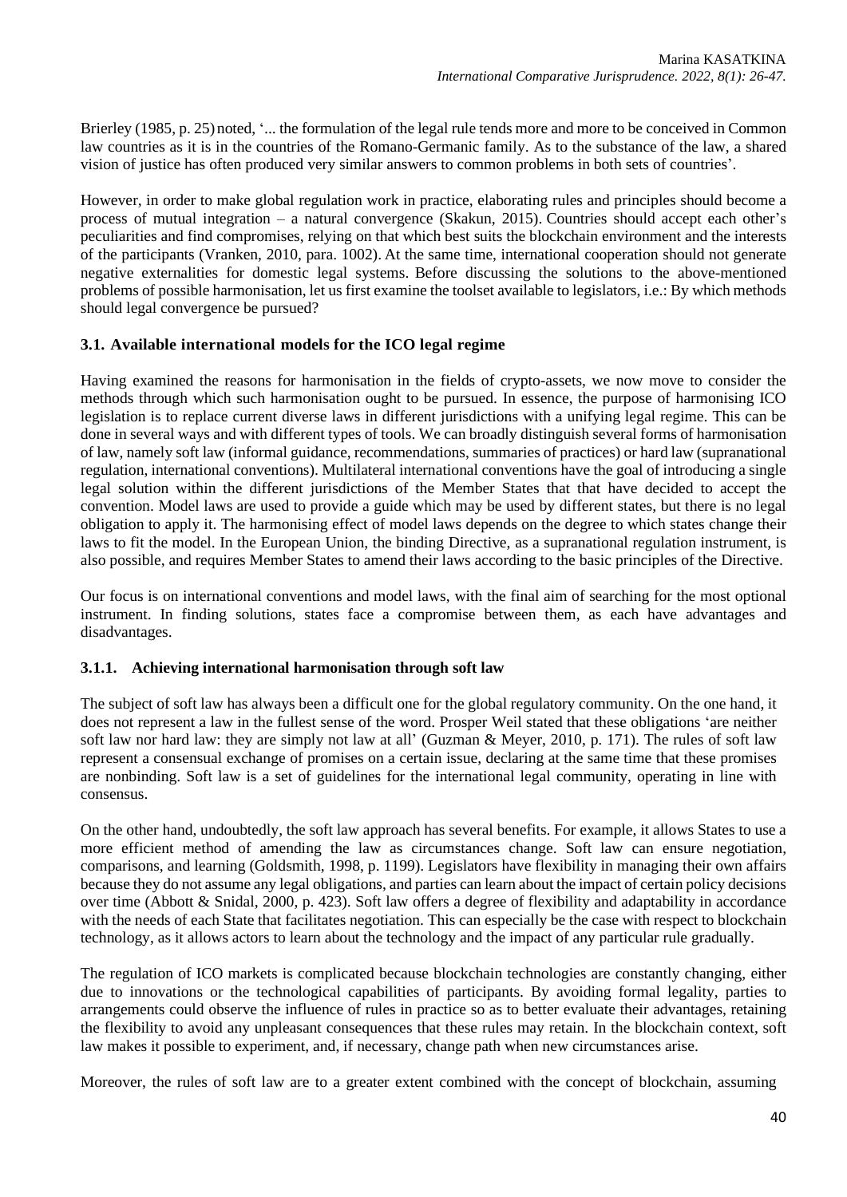Brierley (1985, p. 25) noted, '... the formulation of the legal rule tends more and more to be conceived in Common law countries as it is in the countries of the Romano-Germanic family. As to the substance of the law, a shared vision of justice has often produced very similar answers to common problems in both sets of countries'.

However, in order to make global regulation work in practice, elaborating rules and principles should become a process of mutual integration – a natural convergence (Skakun, 2015). Countries should accept each other's peculiarities and find compromises, relying on that which best suits the blockchain environment and the interests of the participants (Vranken, 2010, para. 1002). At the same time, international cooperation should not generate negative externalities for domestic legal systems. Before discussing the solutions to the above-mentioned problems of possible harmonisation, let us first examine the toolset available to legislators, i.e.: By which methods should legal convergence be pursued?

# **3.1. Available international models for the ICO legal regime**

Having examined the reasons for harmonisation in the fields of crypto-assets, we now move to consider the methods through which such harmonisation ought to be pursued. In essence, the purpose of harmonising ICO legislation is to replace current diverse laws in different jurisdictions with a unifying legal regime. This can be done in several ways and with different types of tools. We can broadly distinguish several forms of harmonisation of law, namely soft law (informal guidance, recommendations, summaries of practices) or hard law (supranational regulation, international conventions). Multilateral international conventions have the goal of introducing a single legal solution within the different jurisdictions of the Member States that that have decided to accept the convention. Model laws are used to provide a guide which may be used by different states, but there is no legal obligation to apply it. The harmonising effect of model laws depends on the degree to which states change their laws to fit the model. In the European Union, the binding Directive, as a supranational regulation instrument, is also possible, and requires Member States to amend their laws according to the basic principles of the Directive.

Our focus is on international conventions and model laws, with the final aim of searching for the most optional instrument. In finding solutions, states face a compromise between them, as each have advantages and disadvantages.

## **3.1.1. Achieving international harmonisation through soft law**

The subject of soft law has always been a difficult one for the global regulatory community. On the one hand, it does not represent a law in the fullest sense of the word. Prosper Weil stated that these obligations 'are neither soft law nor hard law: they are simply not law at all' (Guzman & Meyer, 2010, p. 171). The rules of soft law represent a consensual exchange of promises on a certain issue, declaring at the same time that these promises are nonbinding. Soft law is a set of guidelines for the international legal community, operating in line with consensus.

On the other hand, undoubtedly, the soft law approach has several benefits. For example, it allows States to use a more efficient method of amending the law as circumstances change. Soft law can ensure negotiation, comparisons, and learning (Goldsmith, 1998, p. 1199). Legislators have flexibility in managing their own affairs because they do not assume any legal obligations, and parties can learn about the impact of certain policy decisions over time (Abbott & Snidal, 2000, p. 423). Soft law offers a degree of flexibility and adaptability in accordance with the needs of each State that facilitates negotiation. This can especially be the case with respect to blockchain technology, as it allows actors to learn about the technology and the impact of any particular rule gradually.

The regulation of ICO markets is complicated because blockchain technologies are constantly changing, either due to innovations or the technological capabilities of participants. By avoiding formal legality, parties to arrangements could observe the influence of rules in practice so as to better evaluate their advantages, retaining the flexibility to avoid any unpleasant consequences that these rules may retain. In the blockchain context, soft law makes it possible to experiment, and, if necessary, change path when new circumstances arise.

Moreover, the rules of soft law are to a greater extent combined with the concept of blockchain, assuming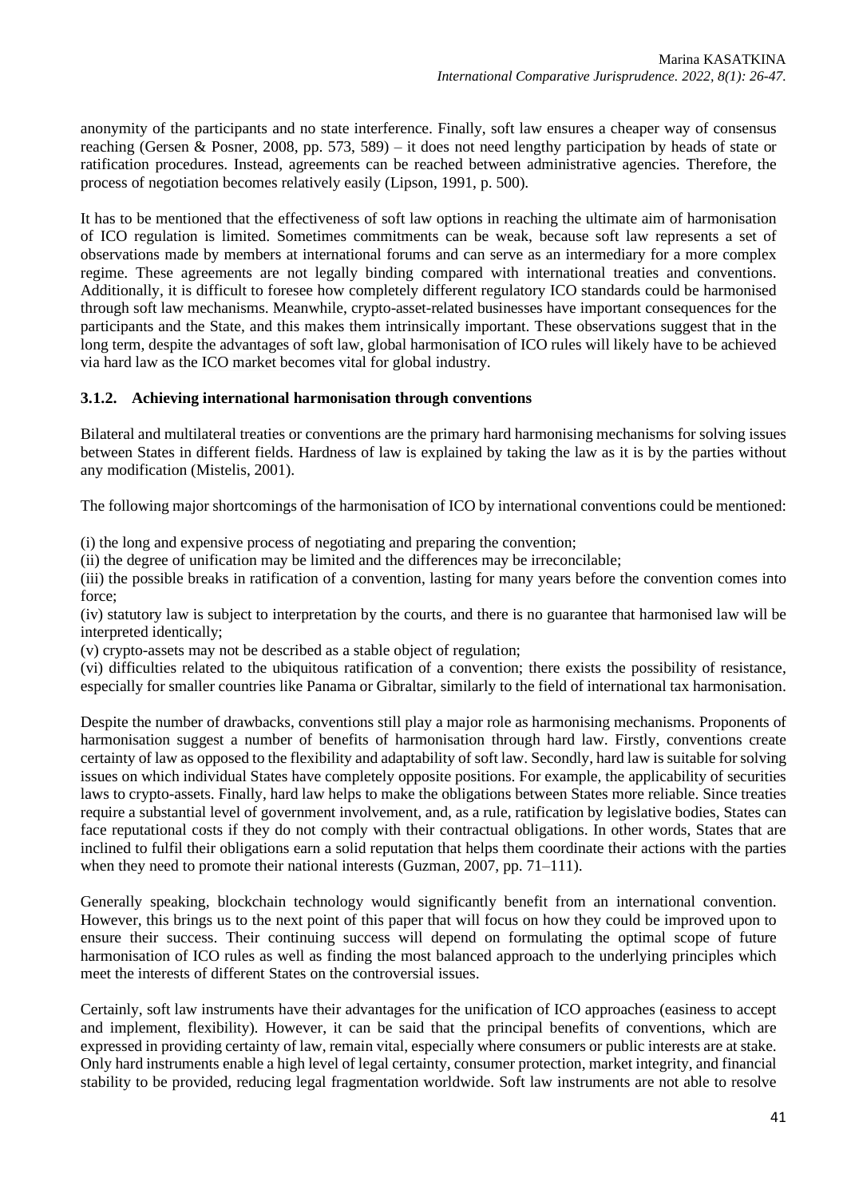anonymity of the participants and no state interference. Finally, soft law ensures a cheaper way of consensus reaching (Gersen & Posner, 2008, pp. 573, 589) – it does not need lengthy participation by heads of state or ratification procedures. Instead, agreements can be reached between administrative agencies. Therefore, the process of negotiation becomes relatively easily (Lipson, 1991, p. 500).

It has to be mentioned that the effectiveness of soft law options in reaching the ultimate aim of harmonisation of ICO regulation is limited. Sometimes commitments can be weak, because soft law represents a set of observations made by members at international forums and can serve as an intermediary for a more complex regime. These agreements are not legally binding compared with international treaties and conventions. Additionally, it is difficult to foresee how completely different regulatory ICO standards could be harmonised through soft law mechanisms. Meanwhile, crypto-asset-related businesses have important consequences for the participants and the State, and this makes them intrinsically important. These observations suggest that in the long term, despite the advantages of soft law, global harmonisation of ICO rules will likely have to be achieved via hard law as the ICO market becomes vital for global industry.

## **3.1.2. Achieving international harmonisation through conventions**

Bilateral and multilateral treaties or conventions are the primary hard harmonising mechanisms for solving issues between States in different fields. Hardness of law is explained by taking the law as it is by the parties without any modification (Mistelis, 2001).

The following major shortcomings of the harmonisation of ICO by international conventions could be mentioned:

(i) the long and expensive process of negotiating and preparing the convention;

(ii) the degree of unification may be limited and the differences may be irreconcilable;

(iii) the possible breaks in ratification of a convention, lasting for many years before the convention comes into force;

(iv) statutory law is subject to interpretation by the courts, and there is no guarantee that harmonised law will be interpreted identically;

(v) crypto-assets may not be described as a stable object of regulation;

(vi) difficulties related to the ubiquitous ratification of a convention; there exists the possibility of resistance, especially for smaller countries like Panama or Gibraltar, similarly to the field of international tax harmonisation.

Despite the number of drawbacks, conventions still play a major role as harmonising mechanisms. Proponents of harmonisation suggest a number of benefits of harmonisation through hard law. Firstly, conventions create certainty of law as opposed to the flexibility and adaptability of soft law. Secondly, hard law is suitable for solving issues on which individual States have completely opposite positions. For example, the applicability of securities laws to crypto-assets. Finally, hard law helps to make the obligations between States more reliable. Since treaties require a substantial level of government involvement, and, as a rule, ratification by legislative bodies, States can face reputational costs if they do not comply with their contractual obligations. In other words, States that are inclined to fulfil their obligations earn a solid reputation that helps them coordinate their actions with the parties when they need to promote their national interests (Guzman, 2007, pp.  $71-111$ ).

Generally speaking, blockchain technology would significantly benefit from an international convention. However, this brings us to the next point of this paper that will focus on how they could be improved upon to ensure their success. Their continuing success will depend on formulating the optimal scope of future harmonisation of ICO rules as well as finding the most balanced approach to the underlying principles which meet the interests of different States on the controversial issues.

Certainly, soft law instruments have their advantages for the unification of ICO approaches (easiness to accept and implement, flexibility). However, it can be said that the principal benefits of conventions, which are expressed in providing certainty of law, remain vital, especially where consumers or public interests are at stake. Only hard instruments enable a high level of legal certainty, consumer protection, market integrity, and financial stability to be provided, reducing legal fragmentation worldwide. Soft law instruments are not able to resolve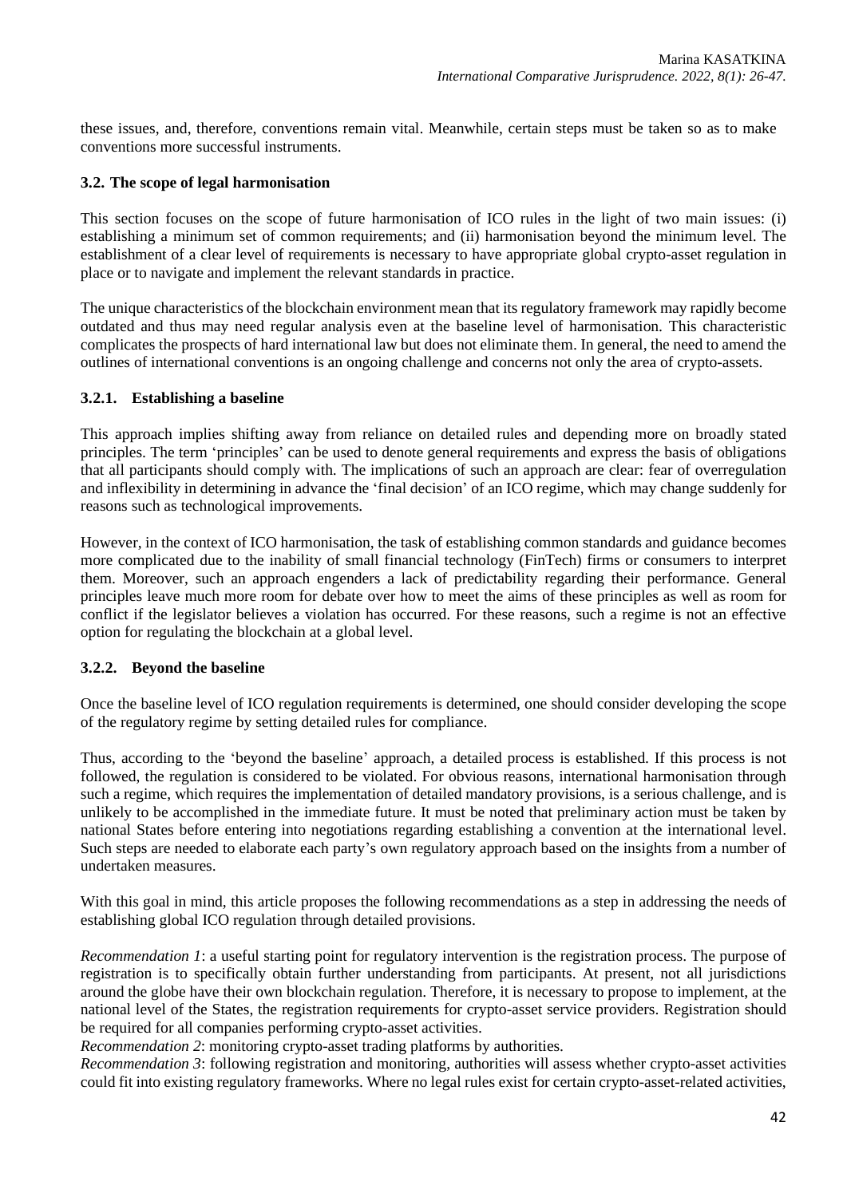these issues, and, therefore, conventions remain vital. Meanwhile, certain steps must be taken so as to make conventions more successful instruments.

### **3.2. The scope of legal harmonisation**

This section focuses on the scope of future harmonisation of ICO rules in the light of two main issues: (i) establishing a minimum set of common requirements; and (ii) harmonisation beyond the minimum level. The establishment of a clear level of requirements is necessary to have appropriate global crypto-asset regulation in place or to navigate and implement the relevant standards in practice.

The unique characteristics of the blockchain environment mean that its regulatory framework may rapidly become outdated and thus may need regular analysis even at the baseline level of harmonisation. This characteristic complicates the prospects of hard international law but does not eliminate them. In general, the need to amend the outlines of international conventions is an ongoing challenge and concerns not only the area of crypto-assets.

### **3.2.1. Establishing a baseline**

This approach implies shifting away from reliance on detailed rules and depending more on broadly stated principles. The term 'principles' can be used to denote general requirements and express the basis of obligations that all participants should comply with. The implications of such an approach are clear: fear of overregulation and inflexibility in determining in advance the 'final decision' of an ICO regime, which may change suddenly for reasons such as technological improvements.

However, in the context of ICO harmonisation, the task of establishing common standards and guidance becomes more complicated due to the inability of small financial technology (FinTech) firms or consumers to interpret them. Moreover, such an approach engenders a lack of predictability regarding their performance. General principles leave much more room for debate over how to meet the aims of these principles as well as room for conflict if the legislator believes a violation has occurred. For these reasons, such a regime is not an effective option for regulating the blockchain at a global level.

## **3.2.2. Beyond the baseline**

Once the baseline level of ICO regulation requirements is determined, one should consider developing the scope of the regulatory regime by setting detailed rules for compliance.

Thus, according to the 'beyond the baseline' approach, a detailed process is established. If this process is not followed, the regulation is considered to be violated. For obvious reasons, international harmonisation through such a regime, which requires the implementation of detailed mandatory provisions, is a serious challenge, and is unlikely to be accomplished in the immediate future. It must be noted that preliminary action must be taken by national States before entering into negotiations regarding establishing a convention at the international level. Such steps are needed to elaborate each party's own regulatory approach based on the insights from a number of undertaken measures.

With this goal in mind, this article proposes the following recommendations as a step in addressing the needs of establishing global ICO regulation through detailed provisions.

*Recommendation 1*: a useful starting point for regulatory intervention is the registration process. The purpose of registration is to specifically obtain further understanding from participants. At present, not all jurisdictions around the globe have their own blockchain regulation. Therefore, it is necessary to propose to implement, at the national level of the States, the registration requirements for crypto-asset service providers. Registration should be required for all companies performing crypto-asset activities.

*Recommendation 2*: monitoring crypto-asset trading platforms by authorities.

*Recommendation 3*: following registration and monitoring, authorities will assess whether crypto-asset activities could fit into existing regulatory frameworks. Where no legal rules exist for certain crypto-asset-related activities,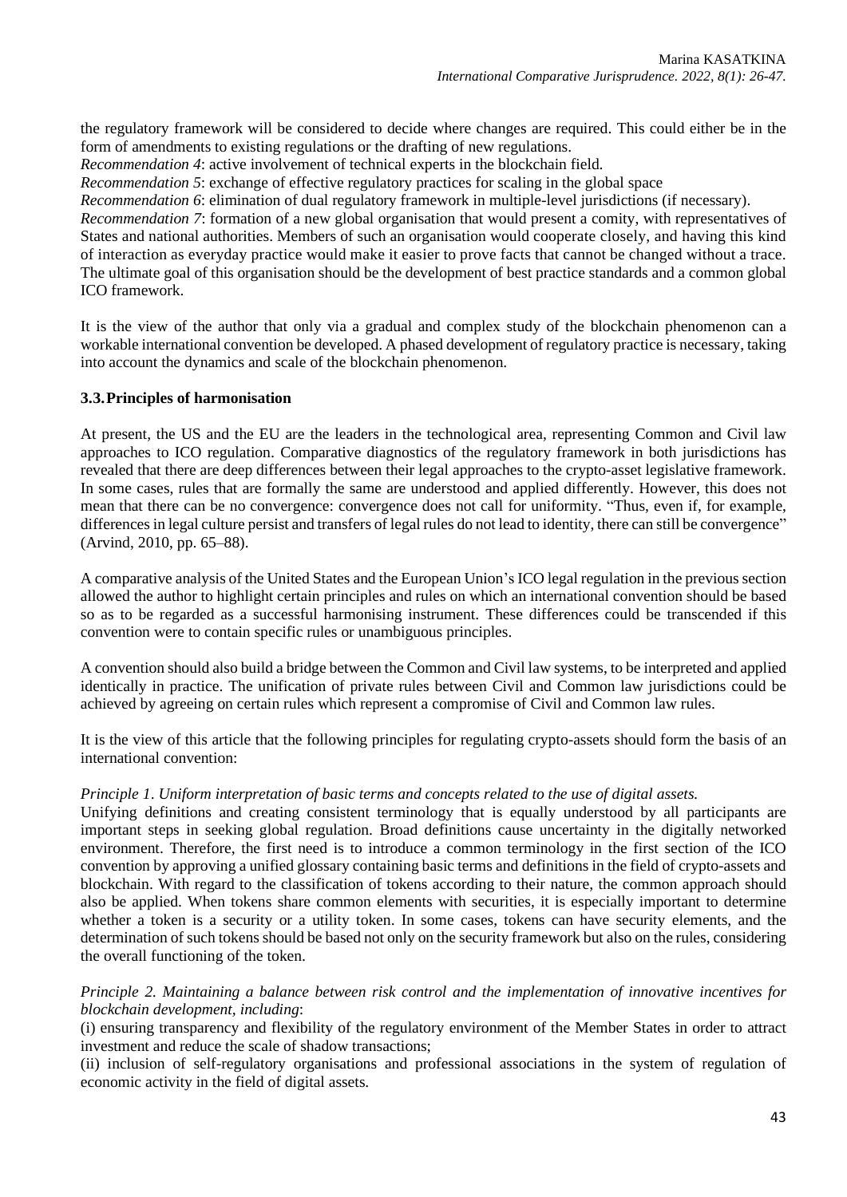the regulatory framework will be considered to decide where changes are required. This could either be in the form of amendments to existing regulations or the drafting of new regulations.

*Recommendation 4*: active involvement of technical experts in the blockchain field.

*Recommendation 5*: exchange of effective regulatory practices for scaling in the global space

*Recommendation 6*: elimination of dual regulatory framework in multiple-level jurisdictions (if necessary).

*Recommendation 7*: formation of a new global organisation that would present a comity, with representatives of States and national authorities. Members of such an organisation would cooperate closely, and having this kind of interaction as everyday practice would make it easier to prove facts that cannot be changed without a trace. The ultimate goal of this organisation should be the development of best practice standards and a common global ICO framework.

It is the view of the author that only via a gradual and complex study of the blockchain phenomenon can a workable international convention be developed. A phased development of regulatory practice is necessary, taking into account the dynamics and scale of the blockchain phenomenon.

### **3.3.Principles of harmonisation**

At present, the US and the EU are the leaders in the technological area, representing Common and Civil law approaches to ICO regulation. Comparative diagnostics of the regulatory framework in both jurisdictions has revealed that there are deep differences between their legal approaches to the crypto-asset legislative framework. In some cases, rules that are formally the same are understood and applied differently. However, this does not mean that there can be no convergence: convergence does not call for uniformity. "Thus, even if, for example, differences in legal culture persist and transfers of legal rules do not lead to identity, there can still be convergence" (Arvind, 2010, pp. 65–88).

A comparative analysis of the United States and the European Union's ICO legal regulation in the previous section allowed the author to highlight certain principles and rules on which an international convention should be based so as to be regarded as a successful harmonising instrument. These differences could be transcended if this convention were to contain specific rules or unambiguous principles.

A convention should also build a bridge between the Common and Civil law systems, to be interpreted and applied identically in practice. The unification of private rules between Civil and Common law jurisdictions could be achieved by agreeing on certain rules which represent a compromise of Civil and Common law rules.

It is the view of this article that the following principles for regulating crypto-assets should form the basis of an international convention:

## *Principle 1*. *Uniform interpretation of basic terms and concepts related to the use of digital assets.*

Unifying definitions and creating consistent terminology that is equally understood by all participants are important steps in seeking global regulation. Broad definitions cause uncertainty in the digitally networked environment. Therefore, the first need is to introduce a common terminology in the first section of the ICO convention by approving a unified glossary containing basic terms and definitions in the field of crypto-assets and blockchain. With regard to the classification of tokens according to their nature, the common approach should also be applied. When tokens share common elements with securities, it is especially important to determine whether a token is a security or a utility token. In some cases, tokens can have security elements, and the determination of such tokens should be based not only on the security framework but also on the rules, considering the overall functioning of the token.

*Principle 2. Maintaining a balance between risk control and the implementation of innovative incentives for blockchain development, including*:

(i) ensuring transparency and flexibility of the regulatory environment of the Member States in order to attract investment and reduce the scale of shadow transactions;

(ii) inclusion of self-regulatory organisations and professional associations in the system of regulation of economic activity in the field of digital assets.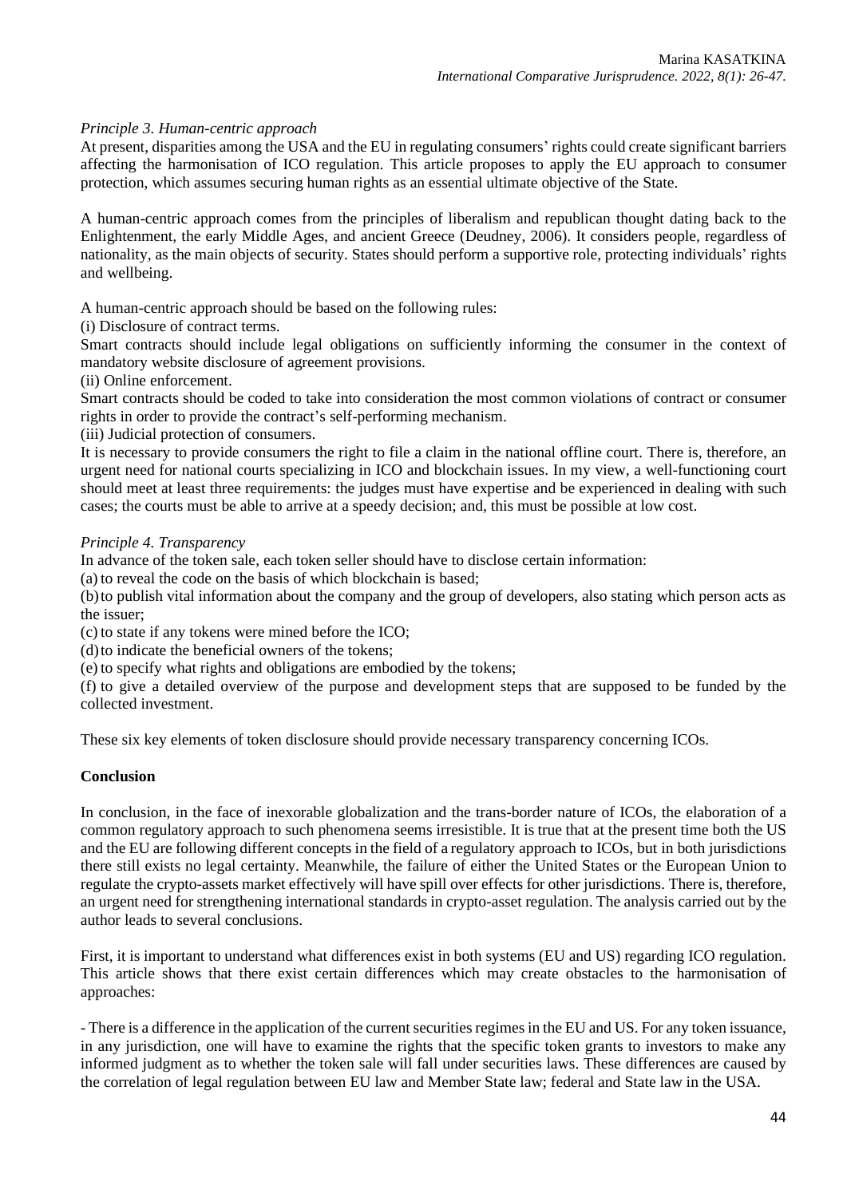## *Principle 3. Human-centric approach*

At present, disparities among the USA and the EU in regulating consumers' rights could create significant barriers affecting the harmonisation of ICO regulation. This article proposes to apply the EU approach to consumer protection, which assumes securing human rights as an essential ultimate objective of the State.

A human-centric approach comes from the principles of liberalism and republican thought dating back to the Enlightenment, the early Middle Ages, and ancient Greece (Deudney, 2006). It considers people, regardless of nationality, as the main objects of security. States should perform a supportive role, protecting individuals' rights and wellbeing.

A human-centric approach should be based on the following rules:

(i) Disclosure of contract terms.

Smart contracts should include legal obligations on sufficiently informing the consumer in the context of mandatory website disclosure of agreement provisions.

(ii) Online enforcement.

Smart contracts should be coded to take into consideration the most common violations of contract or consumer rights in order to provide the contract's self-performing mechanism.

(iii) Judicial protection of consumers.

It is necessary to provide consumers the right to file a claim in the national offline court. There is, therefore, an urgent need for national courts specializing in ICO and blockchain issues. In my view, a well-functioning court should meet at least three requirements: the judges must have expertise and be experienced in dealing with such cases; the courts must be able to arrive at a speedy decision; and, this must be possible at low cost.

#### *Principle 4. Transparency*

In advance of the token sale, each token seller should have to disclose certain information:

(a) to reveal the code on the basis of which blockchain is based;

(b)to publish vital information about the company and the group of developers, also stating which person acts as the issuer;

(c) to state if any tokens were mined before the ICO;

(d)to indicate the beneficial owners of the tokens;

(e) to specify what rights and obligations are embodied by the tokens;

(f) to give a detailed overview of the purpose and development steps that are supposed to be funded by the collected investment.

These six key elements of token disclosure should provide necessary transparency concerning ICOs.

## **Conclusion**

In conclusion, in the face of inexorable globalization and the trans-border nature of ICOs, the elaboration of a common regulatory approach to such phenomena seems irresistible. It is true that at the present time both the US and the EU are following different concepts in the field of a regulatory approach to ICOs, but in both jurisdictions there still exists no legal certainty. Meanwhile, the failure of either the United States or the European Union to regulate the crypto-assets market effectively will have spill over effects for other jurisdictions. There is, therefore, an urgent need for strengthening international standards in crypto-asset regulation. The analysis carried out by the author leads to several conclusions.

First, it is important to understand what differences exist in both systems (EU and US) regarding ICO regulation. This article shows that there exist certain differences which may create obstacles to the harmonisation of approaches:

- There is a difference in the application of the current securities regimes in the EU and US. For any token issuance, in any jurisdiction, one will have to examine the rights that the specific token grants to investors to make any informed judgment as to whether the token sale will fall under securities laws. These differences are caused by the correlation of legal regulation between EU law and Member State law; federal and State law in the USA.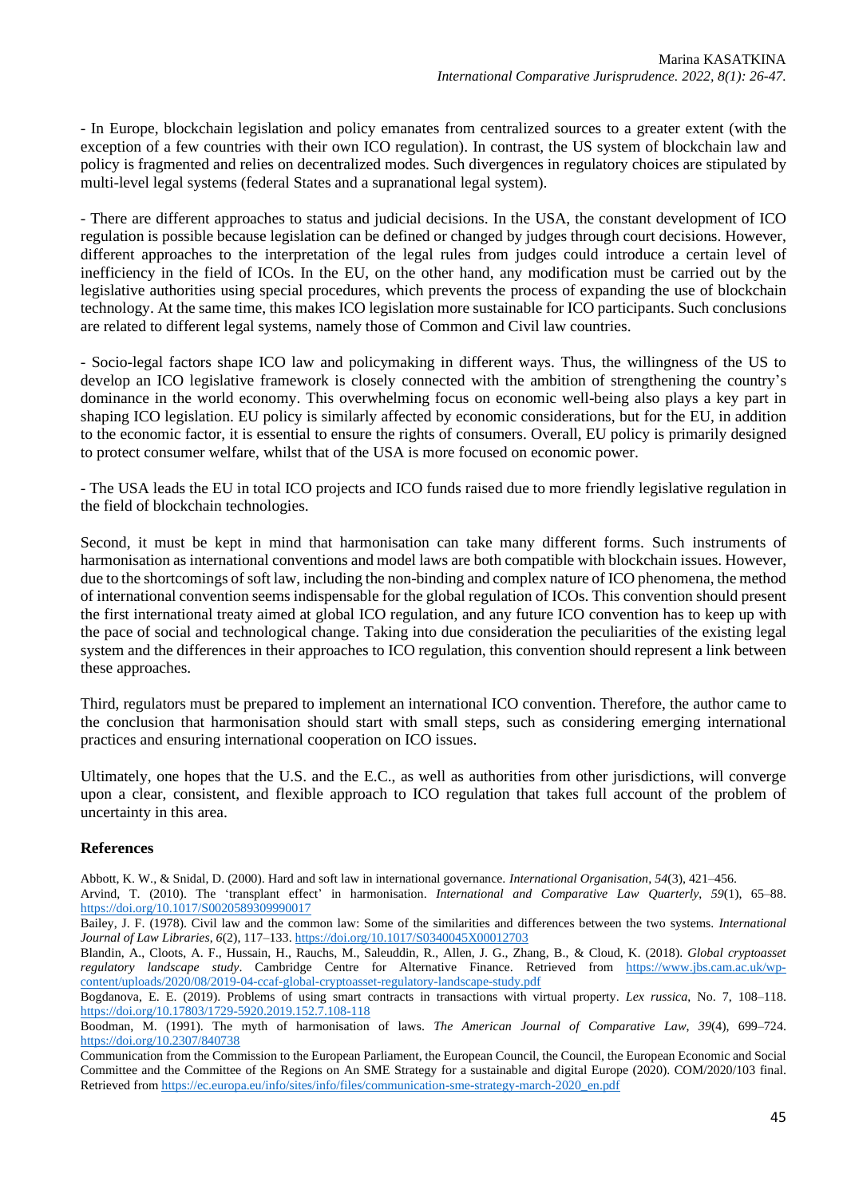- In Europe, blockchain legislation and policy emanates from centralized sources to a greater extent (with the exception of a few countries with their own ICO regulation). In contrast, the US system of blockchain law and policy is fragmented and relies on decentralized modes. Such divergences in regulatory choices are stipulated by multi-level legal systems (federal States and a supranational legal system).

- There are different approaches to status and judicial decisions. In the USA, the constant development of ICO regulation is possible because legislation can be defined or changed by judges through court decisions. However, different approaches to the interpretation of the legal rules from judges could introduce a certain level of inefficiency in the field of ICOs. In the EU, on the other hand, any modification must be carried out by the legislative authorities using special procedures, which prevents the process of expanding the use of blockchain technology. At the same time, this makes ICO legislation more sustainable for ICO participants. Such conclusions are related to different legal systems, namely those of Common and Civil law countries.

- Socio-legal factors shape ICO law and policymaking in different ways. Thus, the willingness of the US to develop an ICO legislative framework is closely connected with the ambition of strengthening the country's dominance in the world economy. This overwhelming focus on economic well-being also plays a key part in shaping ICO legislation. EU policy is similarly affected by economic considerations, but for the EU, in addition to the economic factor, it is essential to ensure the rights of consumers. Overall, EU policy is primarily designed to protect consumer welfare, whilst that of the USA is more focused on economic power.

- The USA leads the EU in total ICO projects and ICO funds raised due to more friendly legislative regulation in the field of blockchain technologies.

Second, it must be kept in mind that harmonisation can take many different forms. Such instruments of harmonisation as international conventions and model laws are both compatible with blockchain issues. However, due to the shortcomings of soft law, including the non-binding and complex nature of ICO phenomena, the method of international convention seems indispensable for the global regulation of ICOs. This convention should present the first international treaty aimed at global ICO regulation, and any future ICO convention has to keep up with the pace of social and technological change. Taking into due consideration the peculiarities of the existing legal system and the differences in their approaches to ICO regulation, this convention should represent a link between these approaches.

Third, regulators must be prepared to implement an international ICO convention. Therefore, the author came to the conclusion that harmonisation should start with small steps, such as considering emerging international practices and ensuring international cooperation on ICO issues.

Ultimately, one hopes that the U.S. and the E.C., as well as authorities from other jurisdictions, will converge upon a clear, consistent, and flexible approach to ICO regulation that takes full account of the problem of uncertainty in this area.

## **References**

Abbott, K. W., & Snidal, D. (2000). Hard and soft law in international governance. *International Organisation*, *54*(3), 421–456.

Arvind, T. (2010). The 'transplant effect' in harmonisation. *International and Comparative Law Quarterly*, *59*(1), 65–88. <https://doi.org/10.1017/S0020589309990017>

Bailey, J. F. (1978). Civil law and the common law: Some of the similarities and differences between the two systems. *International Journal of Law Libraries*, *6*(2), 117–133[. https://doi.org/10.1017/S0340045X00012703](https://doi.org/10.1017/S0340045X00012703)

Blandin, A., Cloots, A. F., Hussain, H., Rauchs, M., Saleuddin, R., Allen, J. G., Zhang, B., & Cloud, K. (2018). *Global cryptoasset regulatory landscape study*. Cambridge Centre for Alternative Finance. Retrieved from [https://www.jbs.cam.ac.uk/wp](https://www.jbs.cam.ac.uk/wp-content/uploads/2020/08/2019-04-ccaf-global-cryptoasset-regulatory-landscape-study.pdf)[content/uploads/2020/08/2019-04-ccaf-global-cryptoasset-regulatory-landscape-study.pdf](https://www.jbs.cam.ac.uk/wp-content/uploads/2020/08/2019-04-ccaf-global-cryptoasset-regulatory-landscape-study.pdf)

Bogdanova, E. E. (2019). Problems of using smart contracts in transactions with virtual property. *Lex russica*, No. 7, 108–118. <https://doi.org/10.17803/1729-5920.2019.152.7.108-118>

Boodman, M. (1991). The myth of harmonisation of laws. *The American Journal of Comparative Law*, *39*(4), 699–724. <https://doi.org/10.2307/840738>

Communication from the Commission to the European Parliament, the European Council, the Council, the European Economic and Social Committee and the Committee of the Regions on An SME Strategy for a sustainable and digital Europe (2020). COM/2020/103 final. Retrieved from [https://ec.europa.eu/info/sites/info/files/communication-sme-strategy-march-2020\\_en.pdf](https://ec.europa.eu/info/sites/info/files/communication-sme-strategy-march-2020_en.pdf)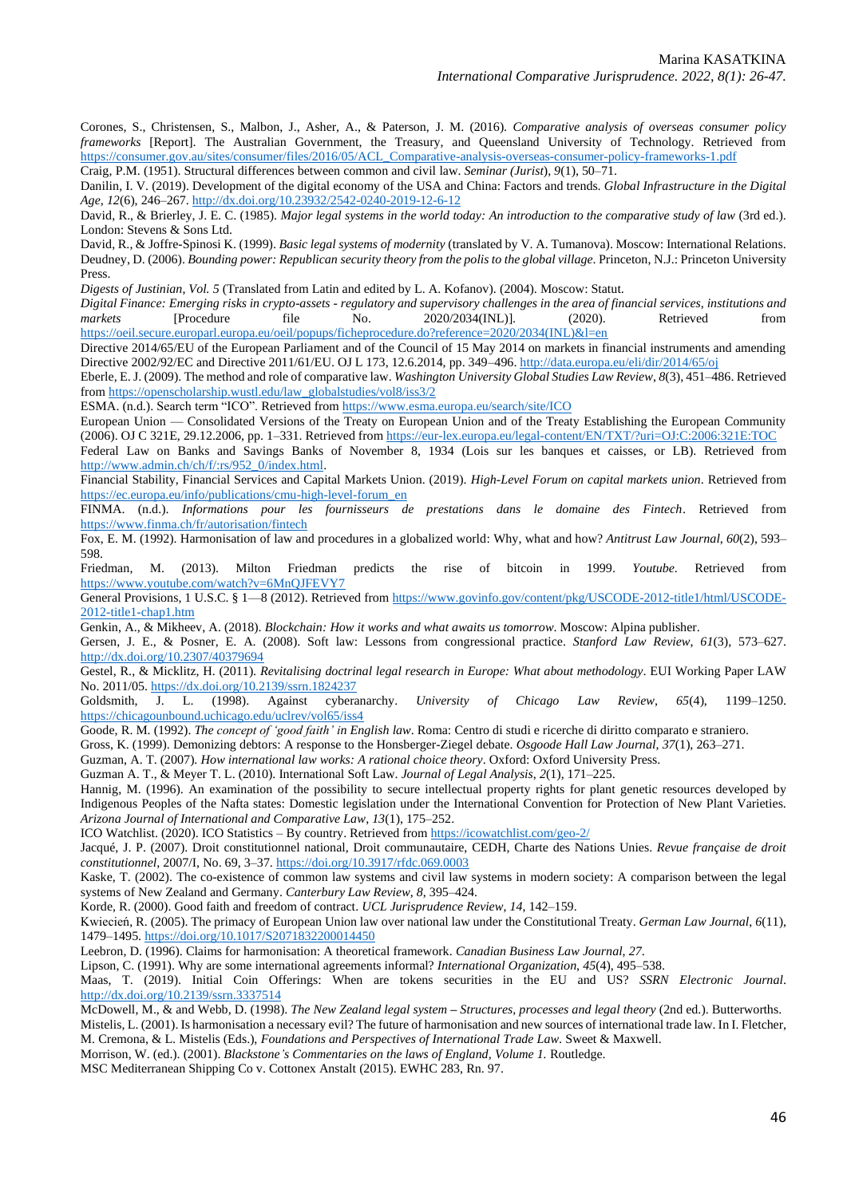Corones, S., Christensen, S., Malbon, J., Asher, A., & Paterson, J. M. (2016). *Comparative analysis of overseas consumer policy frameworks* [Report]. The Australian Government, the Treasury, and Queensland University of Technology. Retrieved from [https://consumer.gov.au/sites/consumer/files/2016/05/ACL\\_Comparative-analysis-overseas-consumer-policy-frameworks-1.pdf](https://consumer.gov.au/sites/consumer/files/2016/05/ACL_Comparative-analysis-overseas-consumer-policy-frameworks-1.pdf)

Craig, P.M. (1951). Structural differences between common and civil law. *Seminar (Jurist*), *9*(1), 50–71.

Danilin, I. V. (2019). Development of the digital economy of the USA and China: Factors and trends. *Global Infrastructure in the Digital Age*, *12*(6), 246–267.<http://dx.doi.org/10.23932/2542-0240-2019-12-6-12>

David, R., & Brierley, J. E. C. (1985). *Major legal systems in the world today: An introduction to the comparative study of law* (3rd ed.). London: Stevens & Sons Ltd.

David, R., & Joffre-Spinosi K. (1999). *Basic legal systems of modernity* (translated by V. A. Tumanova). Moscow: International Relations. Deudney, D. (2006). *Bounding power: Republican security theory from the polis to the global village*. Princeton, N.J.: Princeton University Press.

*Digests of Justinian*, *Vol. 5* (Translated from Latin and edited by L. A. Kofanov). (2004). Moscow: Statut.

*Digital Finance: Emerging risks in crypto-assets - regulatory and supervisory challenges in the area of financial services, institutions and*  markets [Procedure file No. 2020/2034(INL)]. (2020). Retrieved from [https://oeil.secure.europarl.europa.eu/oeil/popups/ficheprocedure.do?reference=2020/2034\(INL\)&l=en](https://oeil.secure.europarl.europa.eu/oeil/popups/ficheprocedure.do?reference=2020/2034(INL)&l=en)

Directive 2014/65/EU of the European Parliament and of the Council of 15 May 2014 on markets in financial instruments and amending Directive 2002/92/EC and Directive 2011/61/EU. OJ L 173, 12.6.2014, pp. 349–496[. http://data.europa.eu/eli/dir/2014/65/oj](http://data.europa.eu/eli/dir/2014/65/oj)

Eberle, E. J. (2009). The method and role of comparative law. *Washington University Global Studies Law Review*, *8*(3), 451–486. Retrieved fro[m https://openscholarship.wustl.edu/law\\_globalstudies/vol8/iss3/2](https://openscholarship.wustl.edu/law_globalstudies/vol8/iss3/2)

ESMA. (n.d.). Search term "ICO". Retrieved from <https://www.esma.europa.eu/search/site/ICO>

European Union — Consolidated Versions of the Treaty on European Union and of the Treaty Establishing the European Community (2006). OJ C 321E, 29.12.2006, pp. 1–331. Retrieved from <https://eur-lex.europa.eu/legal-content/EN/TXT/?uri=OJ:C:2006:321E:TOC>

Federal Law on Banks and Savings Banks of November 8, 1934 (Lois sur les banques et caisses, or LB). Retrieved from [http://www.admin.ch/ch/f/:rs/952\\_0/index.html.](http://www.admin.ch/ch/f/:rs/952_0/index.html)

Financial Stability, Financial Services and Capital Markets Union. (2019). *High-Level Forum on capital markets union*. Retrieved from [https://ec.europa.eu/info/publications/cmu-high-level-forum\\_en](https://ec.europa.eu/info/publications/cmu-high-level-forum_en)

FINMA. (n.d.). *Informations pour les fournisseurs de prestations dans le domaine des Fintech*. Retrieved from <https://www.finma.ch/fr/autorisation/fintech>

Fox, E. M. (1992). Harmonisation of law and procedures in a globalized world: Why, what and how? *Antitrust Law Journal*, *60*(2), 593– 598.

Friedman, M. (2013). Milton Friedman predicts the rise of bitcoin in 1999. *Youtube*. Retrieved from <https://www.youtube.com/watch?v=6MnQJFEVY7>

General Provisions, 1 U.S.C. § 1—8 (2012). Retrieved from [https://www.govinfo.gov/content/pkg/USCODE-2012-title1/html/USCODE-](https://www.govinfo.gov/content/pkg/USCODE-2012-title1/html/USCODE-2012-title1-chap1.htm)[2012-title1-chap1.htm](https://www.govinfo.gov/content/pkg/USCODE-2012-title1/html/USCODE-2012-title1-chap1.htm)

Genkin, A., & Mikheev, A. (2018). *Blockchain: How it works and what awaits us tomorrow*. Moscow: Alpina publisher.

Gersen, J. E., & Posner, E. A. (2008). Soft law: Lessons from congressional practice. *Stanford Law Review*, *61*(3), 573–627. <http://dx.doi.org/10.2307/40379694>

Gestel, R., & Micklitz, H. (2011). *Revitalising doctrinal legal research in Europe: What about methodology*. EUI Working Paper LAW No. 2011/05.<https://dx.doi.org/10.2139/ssrn.1824237>

Goldsmith, J. L. (1998). Against cyberanarchy. *University of Chicago Law Review*, *65*(4), 1199–1250. <https://chicagounbound.uchicago.edu/uclrev/vol65/iss4>

Goode, R. M. (1992). *The concept of 'good faith' in English law*. Roma: Centro di studi e ricerche di diritto comparato e straniero.

Gross, K. (1999). Demonizing debtors: A response to the Honsberger-Ziegel debate. *Osgoode Hall Law Journal*, *37*(1), 263–271.

Guzman, A. T. (2007). *How international law works: A rational choice theory*. Oxford: Oxford University Press.

Guzman A. T., & Meyer T. L. (2010). International Soft Law. *Journal of Legal Analysis*, *2*(1), 171–225.

Hannig, M. (1996). An examination of the possibility to secure intellectual property rights for plant genetic resources developed by Indigenous Peoples of the Nafta states: Domestic legislation under the International Convention for Protection of New Plant Varieties. *Arizona Journal of International and Comparative Law*, *13*(1), 175–252.

ICO Watchlist. (2020). ICO Statistics – By country. Retrieved from<https://icowatchlist.com/geo-2/>

Jacqué, J. P. (2007). Droit constitutionnel national, Droit communautaire, CEDH, Charte des Nations Unies. *Revue française de droit constitutionnel*, 2007/I, No. 69, 3–37.<https://doi.org/10.3917/rfdc.069.0003>

Kaske, T. (2002). The co-existence of common law systems and civil law systems in modern society: A comparison between the legal systems of New Zealand and Germany. *Canterbury Law Review*, *8*, 395–424.

Korde, R. (2000). Good faith and freedom of contract. *UCL Jurisprudence Review*, *14*, 142–159.

[Kwiecień,](https://doi.org/10.1017/S2071832200014450) R. (2005). The primacy of European Union law over national law under the Constitutional Treaty. *German Law Journal*, *6*(11), 1479–1495[. https://doi.org/10.1017/S2071832200014450](https://doi.org/10.1017/S2071832200014450) 

Leebron, D. (1996). Claims for harmonisation: A theoretical framework. *Canadian Business Law Journal*, *27*.

Lipson, C. (1991). Why are some international agreements informal? *International Organization*, *45*(4), 495–538.

Maas, T. (2019). Initial Coin Offerings: When are tokens securities in the EU and US? *SSRN Electronic Journal*. <http://dx.doi.org/10.2139/ssrn.3337514>

McDowell, M., & and Webb, D. (1998). *The New Zealand legal system – Structures, processes and legal theory* (2nd ed.). Butterworths.

Mistelis, L. (2001). Is harmonisation a necessary evil? The future of harmonisation and new sources of international trade law. In I. Fletcher, M. Cremona, & L. Mistelis (Eds.), *Foundations and Perspectives of International Trade Law*. Sweet & Maxwell.

Morrison, W. (ed.). (2001). *Blackstone's Commentaries on the laws of England, Volume 1.* Routledge.

MSC Mediterranean Shipping Co v. Cottonex Anstalt (2015). EWHC 283, Rn. 97.